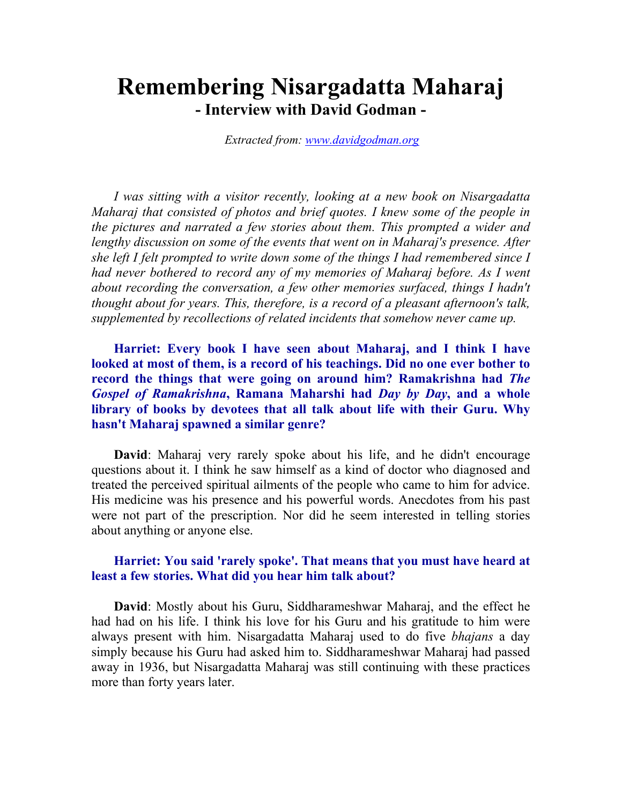# Remembering Nisargadatta Maharaj - Interview with David Godman -

Extracted from: www.davidgodman.org

I was sitting with a visitor recently, looking at a new book on Nisargadatta Maharaj that consisted of photos and brief quotes. I knew some of the people in the pictures and narrated a few stories about them. This prompted a wider and lengthy discussion on some of the events that went on in Maharaj's presence. After she left I felt prompted to write down some of the things I had remembered since I had never bothered to record any of my memories of Maharaj before. As I went about recording the conversation, a few other memories surfaced, things I hadn't thought about for years. This, therefore, is a record of a pleasant afternoon's talk, supplemented by recollections of related incidents that somehow never came up.

Harriet: Every book I have seen about Maharaj, and I think I have looked at most of them, is a record of his teachings. Did no one ever bother to record the things that were going on around him? Ramakrishna had The Gospel of Ramakrishna, Ramana Maharshi had Day by Day, and a whole library of books by devotees that all talk about life with their Guru. Why hasn't Maharaj spawned a similar genre?

David: Maharaj very rarely spoke about his life, and he didn't encourage questions about it. I think he saw himself as a kind of doctor who diagnosed and treated the perceived spiritual ailments of the people who came to him for advice. His medicine was his presence and his powerful words. Anecdotes from his past were not part of the prescription. Nor did he seem interested in telling stories about anything or anyone else.

#### Harriet: You said 'rarely spoke'. That means that you must have heard at least a few stories. What did you hear him talk about?

David: Mostly about his Guru, Siddharameshwar Maharaj, and the effect he had had on his life. I think his love for his Guru and his gratitude to him were always present with him. Nisargadatta Maharaj used to do five bhajans a day simply because his Guru had asked him to. Siddharameshwar Maharaj had passed away in 1936, but Nisargadatta Maharaj was still continuing with these practices more than forty years later.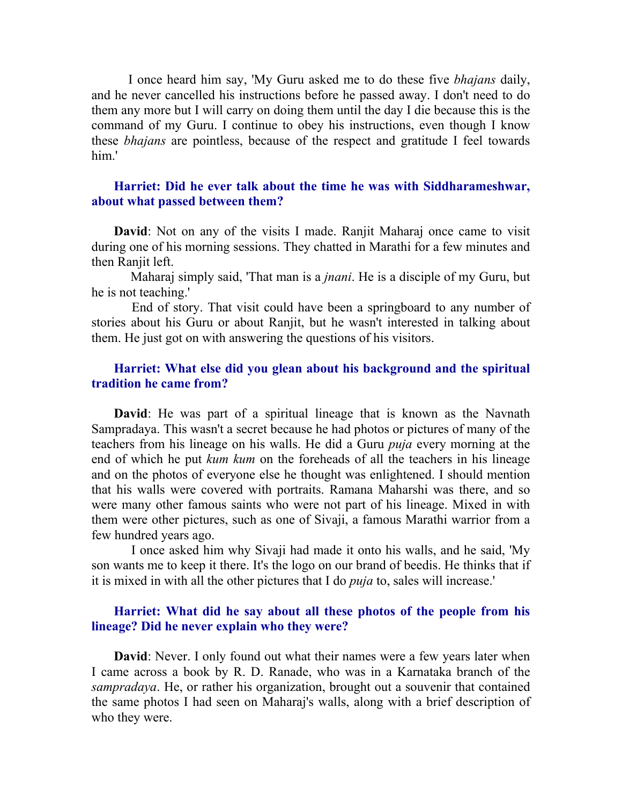I once heard him say, 'My Guru asked me to do these five bhajans daily, and he never cancelled his instructions before he passed away. I don't need to do them any more but I will carry on doing them until the day I die because this is the command of my Guru. I continue to obey his instructions, even though I know these bhajans are pointless, because of the respect and gratitude I feel towards him.'

#### Harriet: Did he ever talk about the time he was with Siddharameshwar, about what passed between them?

David: Not on any of the visits I made. Ranjit Maharaj once came to visit during one of his morning sessions. They chatted in Marathi for a few minutes and then Ranjit left.

Maharaj simply said, 'That man is a *jnani*. He is a disciple of my Guru, but he is not teaching.'

 End of story. That visit could have been a springboard to any number of stories about his Guru or about Ranjit, but he wasn't interested in talking about them. He just got on with answering the questions of his visitors.

## Harriet: What else did you glean about his background and the spiritual tradition he came from?

David: He was part of a spiritual lineage that is known as the Navnath Sampradaya. This wasn't a secret because he had photos or pictures of many of the teachers from his lineage on his walls. He did a Guru puja every morning at the end of which he put kum kum on the foreheads of all the teachers in his lineage and on the photos of everyone else he thought was enlightened. I should mention that his walls were covered with portraits. Ramana Maharshi was there, and so were many other famous saints who were not part of his lineage. Mixed in with them were other pictures, such as one of Sivaji, a famous Marathi warrior from a few hundred years ago.

 I once asked him why Sivaji had made it onto his walls, and he said, 'My son wants me to keep it there. It's the logo on our brand of beedis. He thinks that if it is mixed in with all the other pictures that I do puja to, sales will increase.'

#### Harriet: What did he say about all these photos of the people from his lineage? Did he never explain who they were?

**David:** Never. I only found out what their names were a few years later when I came across a book by R. D. Ranade, who was in a Karnataka branch of the sampradaya. He, or rather his organization, brought out a souvenir that contained the same photos I had seen on Maharaj's walls, along with a brief description of who they were.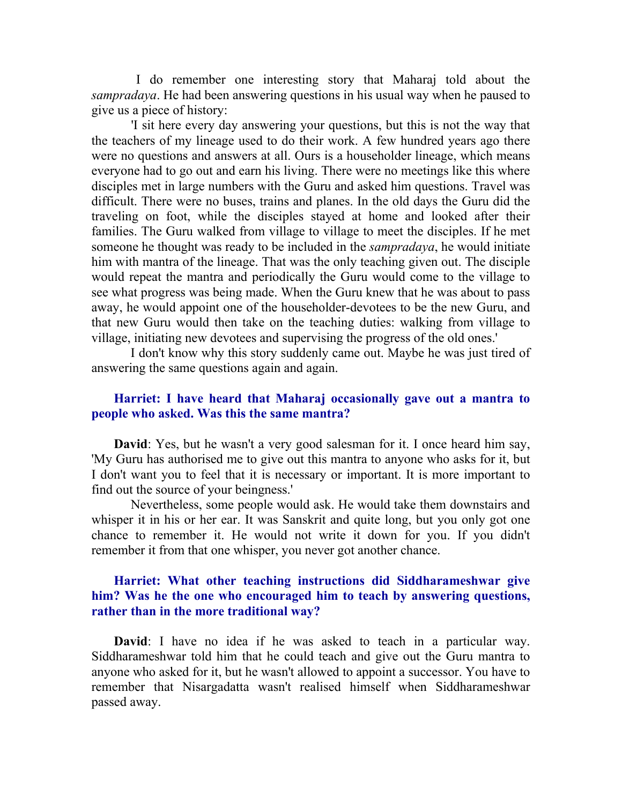I do remember one interesting story that Maharaj told about the sampradaya. He had been answering questions in his usual way when he paused to give us a piece of history:

 'I sit here every day answering your questions, but this is not the way that the teachers of my lineage used to do their work. A few hundred years ago there were no questions and answers at all. Ours is a householder lineage, which means everyone had to go out and earn his living. There were no meetings like this where disciples met in large numbers with the Guru and asked him questions. Travel was difficult. There were no buses, trains and planes. In the old days the Guru did the traveling on foot, while the disciples stayed at home and looked after their families. The Guru walked from village to village to meet the disciples. If he met someone he thought was ready to be included in the *sampradaya*, he would initiate him with mantra of the lineage. That was the only teaching given out. The disciple would repeat the mantra and periodically the Guru would come to the village to see what progress was being made. When the Guru knew that he was about to pass away, he would appoint one of the householder-devotees to be the new Guru, and that new Guru would then take on the teaching duties: walking from village to village, initiating new devotees and supervising the progress of the old ones.'

 I don't know why this story suddenly came out. Maybe he was just tired of answering the same questions again and again.

#### Harriet: I have heard that Maharaj occasionally gave out a mantra to people who asked. Was this the same mantra?

David: Yes, but he wasn't a very good salesman for it. I once heard him say, 'My Guru has authorised me to give out this mantra to anyone who asks for it, but I don't want you to feel that it is necessary or important. It is more important to find out the source of your beingness.'

 Nevertheless, some people would ask. He would take them downstairs and whisper it in his or her ear. It was Sanskrit and quite long, but you only got one chance to remember it. He would not write it down for you. If you didn't remember it from that one whisper, you never got another chance.

## Harriet: What other teaching instructions did Siddharameshwar give him? Was he the one who encouraged him to teach by answering questions, rather than in the more traditional way?

David: I have no idea if he was asked to teach in a particular way. Siddharameshwar told him that he could teach and give out the Guru mantra to anyone who asked for it, but he wasn't allowed to appoint a successor. You have to remember that Nisargadatta wasn't realised himself when Siddharameshwar passed away.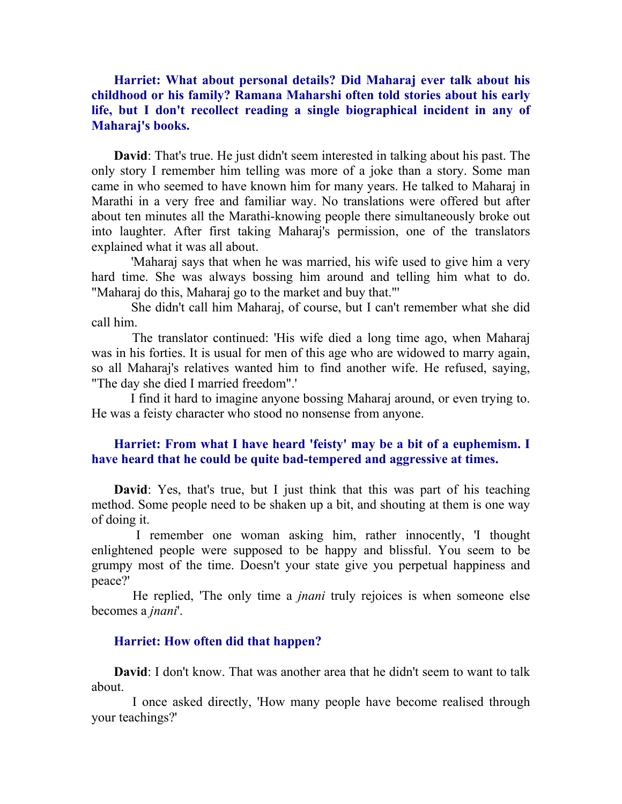Harriet: What about personal details? Did Maharaj ever talk about his childhood or his family? Ramana Maharshi often told stories about his early life, but I don't recollect reading a single biographical incident in any of Maharaj's books.

David: That's true. He just didn't seem interested in talking about his past. The only story I remember him telling was more of a joke than a story. Some man came in who seemed to have known him for many years. He talked to Maharaj in Marathi in a very free and familiar way. No translations were offered but after about ten minutes all the Marathi-knowing people there simultaneously broke out into laughter. After first taking Maharaj's permission, one of the translators explained what it was all about.

 'Maharaj says that when he was married, his wife used to give him a very hard time. She was always bossing him around and telling him what to do. "Maharaj do this, Maharaj go to the market and buy that."'

 She didn't call him Maharaj, of course, but I can't remember what she did call him.

 The translator continued: 'His wife died a long time ago, when Maharaj was in his forties. It is usual for men of this age who are widowed to marry again, so all Maharaj's relatives wanted him to find another wife. He refused, saying, "The day she died I married freedom".'

 I find it hard to imagine anyone bossing Maharaj around, or even trying to. He was a feisty character who stood no nonsense from anyone.

## Harriet: From what I have heard 'feisty' may be a bit of a euphemism. I have heard that he could be quite bad-tempered and aggressive at times.

David: Yes, that's true, but I just think that this was part of his teaching method. Some people need to be shaken up a bit, and shouting at them is one way of doing it.

 I remember one woman asking him, rather innocently, 'I thought enlightened people were supposed to be happy and blissful. You seem to be grumpy most of the time. Doesn't your state give you perpetual happiness and peace?'

 He replied, 'The only time a jnani truly rejoices is when someone else becomes a jnani'.

#### Harriet: How often did that happen?

David: I don't know. That was another area that he didn't seem to want to talk about.

 I once asked directly, 'How many people have become realised through your teachings?'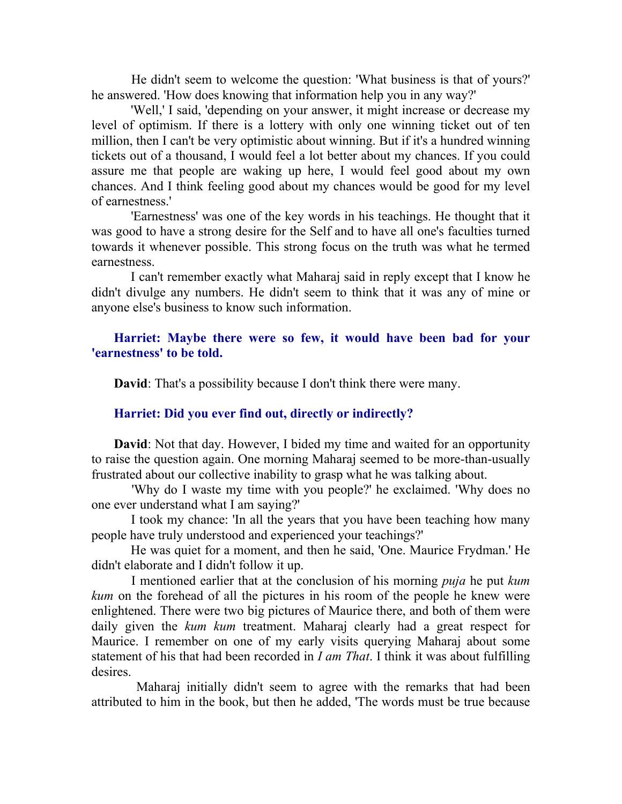He didn't seem to welcome the question: 'What business is that of yours?' he answered. 'How does knowing that information help you in any way?'

 'Well,' I said, 'depending on your answer, it might increase or decrease my level of optimism. If there is a lottery with only one winning ticket out of ten million, then I can't be very optimistic about winning. But if it's a hundred winning tickets out of a thousand, I would feel a lot better about my chances. If you could assure me that people are waking up here, I would feel good about my own chances. And I think feeling good about my chances would be good for my level of earnestness.'

 'Earnestness' was one of the key words in his teachings. He thought that it was good to have a strong desire for the Self and to have all one's faculties turned towards it whenever possible. This strong focus on the truth was what he termed earnestness.

 I can't remember exactly what Maharaj said in reply except that I know he didn't divulge any numbers. He didn't seem to think that it was any of mine or anyone else's business to know such information.

## Harriet: Maybe there were so few, it would have been bad for your 'earnestness' to be told.

David: That's a possibility because I don't think there were many.

#### Harriet: Did you ever find out, directly or indirectly?

David: Not that day. However, I bided my time and waited for an opportunity to raise the question again. One morning Maharaj seemed to be more-than-usually frustrated about our collective inability to grasp what he was talking about.

 'Why do I waste my time with you people?' he exclaimed. 'Why does no one ever understand what I am saying?'

 I took my chance: 'In all the years that you have been teaching how many people have truly understood and experienced your teachings?'

 He was quiet for a moment, and then he said, 'One. Maurice Frydman.' He didn't elaborate and I didn't follow it up.

 I mentioned earlier that at the conclusion of his morning puja he put kum kum on the forehead of all the pictures in his room of the people he knew were enlightened. There were two big pictures of Maurice there, and both of them were daily given the kum kum treatment. Maharaj clearly had a great respect for Maurice. I remember on one of my early visits querying Maharaj about some statement of his that had been recorded in  $I$  am That. I think it was about fulfilling desires.

 Maharaj initially didn't seem to agree with the remarks that had been attributed to him in the book, but then he added, 'The words must be true because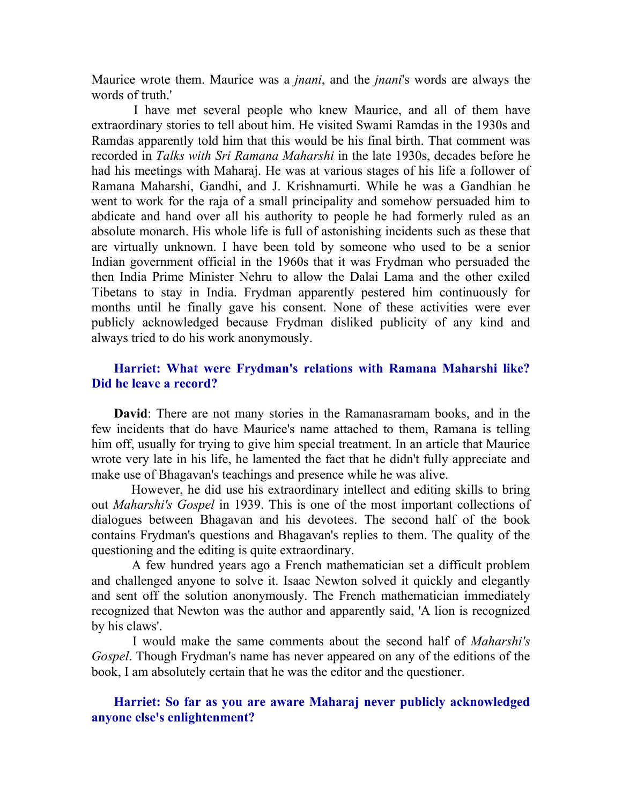Maurice wrote them. Maurice was a *jnani*, and the *jnani*'s words are always the words of truth.'

 I have met several people who knew Maurice, and all of them have extraordinary stories to tell about him. He visited Swami Ramdas in the 1930s and Ramdas apparently told him that this would be his final birth. That comment was recorded in Talks with Sri Ramana Maharshi in the late 1930s, decades before he had his meetings with Maharaj. He was at various stages of his life a follower of Ramana Maharshi, Gandhi, and J. Krishnamurti. While he was a Gandhian he went to work for the raja of a small principality and somehow persuaded him to abdicate and hand over all his authority to people he had formerly ruled as an absolute monarch. His whole life is full of astonishing incidents such as these that are virtually unknown. I have been told by someone who used to be a senior Indian government official in the 1960s that it was Frydman who persuaded the then India Prime Minister Nehru to allow the Dalai Lama and the other exiled Tibetans to stay in India. Frydman apparently pestered him continuously for months until he finally gave his consent. None of these activities were ever publicly acknowledged because Frydman disliked publicity of any kind and always tried to do his work anonymously.

## Harriet: What were Frydman's relations with Ramana Maharshi like? Did he leave a record?

David: There are not many stories in the Ramanasramam books, and in the few incidents that do have Maurice's name attached to them, Ramana is telling him off, usually for trying to give him special treatment. In an article that Maurice wrote very late in his life, he lamented the fact that he didn't fully appreciate and make use of Bhagavan's teachings and presence while he was alive.

 However, he did use his extraordinary intellect and editing skills to bring out Maharshi's Gospel in 1939. This is one of the most important collections of dialogues between Bhagavan and his devotees. The second half of the book contains Frydman's questions and Bhagavan's replies to them. The quality of the questioning and the editing is quite extraordinary.

 A few hundred years ago a French mathematician set a difficult problem and challenged anyone to solve it. Isaac Newton solved it quickly and elegantly and sent off the solution anonymously. The French mathematician immediately recognized that Newton was the author and apparently said, 'A lion is recognized by his claws'.

 I would make the same comments about the second half of Maharshi's Gospel. Though Frydman's name has never appeared on any of the editions of the book, I am absolutely certain that he was the editor and the questioner.

## Harriet: So far as you are aware Maharaj never publicly acknowledged anyone else's enlightenment?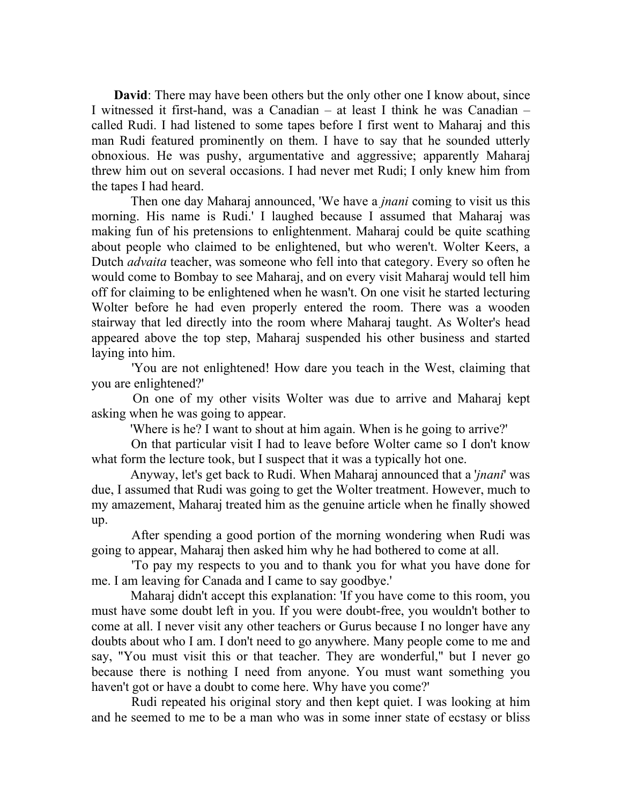David: There may have been others but the only other one I know about, since I witnessed it first-hand, was a Canadian – at least I think he was Canadian – called Rudi. I had listened to some tapes before I first went to Maharaj and this man Rudi featured prominently on them. I have to say that he sounded utterly obnoxious. He was pushy, argumentative and aggressive; apparently Maharaj threw him out on several occasions. I had never met Rudi; I only knew him from the tapes I had heard.

Then one day Maharaj announced, 'We have a *jnani* coming to visit us this morning. His name is Rudi.' I laughed because I assumed that Maharaj was making fun of his pretensions to enlightenment. Maharaj could be quite scathing about people who claimed to be enlightened, but who weren't. Wolter Keers, a Dutch advaita teacher, was someone who fell into that category. Every so often he would come to Bombay to see Maharaj, and on every visit Maharaj would tell him off for claiming to be enlightened when he wasn't. On one visit he started lecturing Wolter before he had even properly entered the room. There was a wooden stairway that led directly into the room where Maharaj taught. As Wolter's head appeared above the top step, Maharaj suspended his other business and started laying into him.

 'You are not enlightened! How dare you teach in the West, claiming that you are enlightened?'

 On one of my other visits Wolter was due to arrive and Maharaj kept asking when he was going to appear.

'Where is he? I want to shout at him again. When is he going to arrive?'

 On that particular visit I had to leave before Wolter came so I don't know what form the lecture took, but I suspect that it was a typically hot one.

 Anyway, let's get back to Rudi. When Maharaj announced that a 'jnani' was due, I assumed that Rudi was going to get the Wolter treatment. However, much to my amazement, Maharaj treated him as the genuine article when he finally showed up.

 After spending a good portion of the morning wondering when Rudi was going to appear, Maharaj then asked him why he had bothered to come at all.

 'To pay my respects to you and to thank you for what you have done for me. I am leaving for Canada and I came to say goodbye.'

 Maharaj didn't accept this explanation: 'If you have come to this room, you must have some doubt left in you. If you were doubt-free, you wouldn't bother to come at all. I never visit any other teachers or Gurus because I no longer have any doubts about who I am. I don't need to go anywhere. Many people come to me and say, "You must visit this or that teacher. They are wonderful," but I never go because there is nothing I need from anyone. You must want something you haven't got or have a doubt to come here. Why have you come?'

 Rudi repeated his original story and then kept quiet. I was looking at him and he seemed to me to be a man who was in some inner state of ecstasy or bliss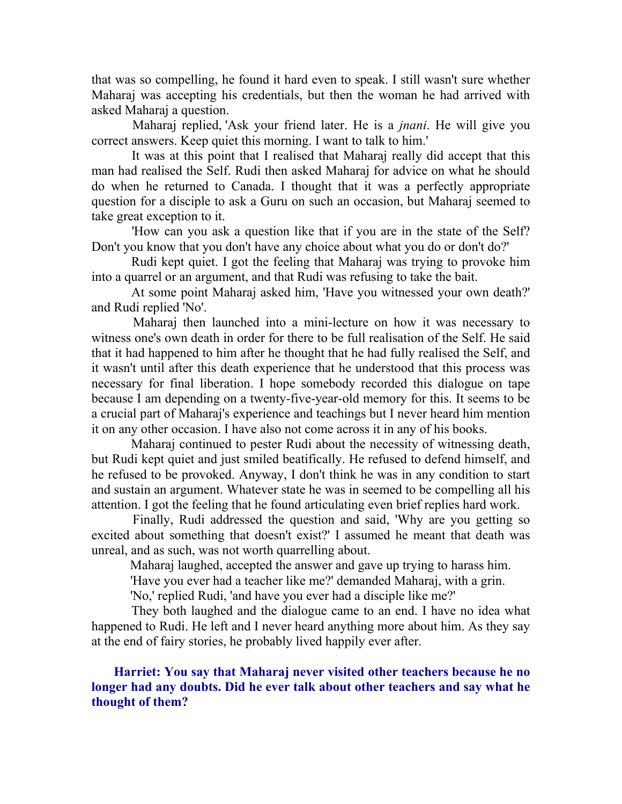that was so compelling, he found it hard even to speak. I still wasn't sure whether Maharaj was accepting his credentials, but then the woman he had arrived with asked Maharaj a question.

 Maharaj replied, 'Ask your friend later. He is a jnani. He will give you correct answers. Keep quiet this morning. I want to talk to him.'

 It was at this point that I realised that Maharaj really did accept that this man had realised the Self. Rudi then asked Maharaj for advice on what he should do when he returned to Canada. I thought that it was a perfectly appropriate question for a disciple to ask a Guru on such an occasion, but Maharaj seemed to take great exception to it.

 'How can you ask a question like that if you are in the state of the Self? Don't you know that you don't have any choice about what you do or don't do?'

 Rudi kept quiet. I got the feeling that Maharaj was trying to provoke him into a quarrel or an argument, and that Rudi was refusing to take the bait.

 At some point Maharaj asked him, 'Have you witnessed your own death?' and Rudi replied 'No'.

 Maharaj then launched into a mini-lecture on how it was necessary to witness one's own death in order for there to be full realisation of the Self. He said that it had happened to him after he thought that he had fully realised the Self, and it wasn't until after this death experience that he understood that this process was necessary for final liberation. I hope somebody recorded this dialogue on tape because I am depending on a twenty-five-year-old memory for this. It seems to be a crucial part of Maharaj's experience and teachings but I never heard him mention it on any other occasion. I have also not come across it in any of his books.

 Maharaj continued to pester Rudi about the necessity of witnessing death, but Rudi kept quiet and just smiled beatifically. He refused to defend himself, and he refused to be provoked. Anyway, I don't think he was in any condition to start and sustain an argument. Whatever state he was in seemed to be compelling all his attention. I got the feeling that he found articulating even brief replies hard work.

 Finally, Rudi addressed the question and said, 'Why are you getting so excited about something that doesn't exist?' I assumed he meant that death was unreal, and as such, was not worth quarrelling about.

Maharaj laughed, accepted the answer and gave up trying to harass him.

'Have you ever had a teacher like me?' demanded Maharaj, with a grin.

'No,' replied Rudi, 'and have you ever had a disciple like me?'

 They both laughed and the dialogue came to an end. I have no idea what happened to Rudi. He left and I never heard anything more about him. As they say at the end of fairy stories, he probably lived happily ever after.

Harriet: You say that Maharaj never visited other teachers because he no longer had any doubts. Did he ever talk about other teachers and say what he thought of them?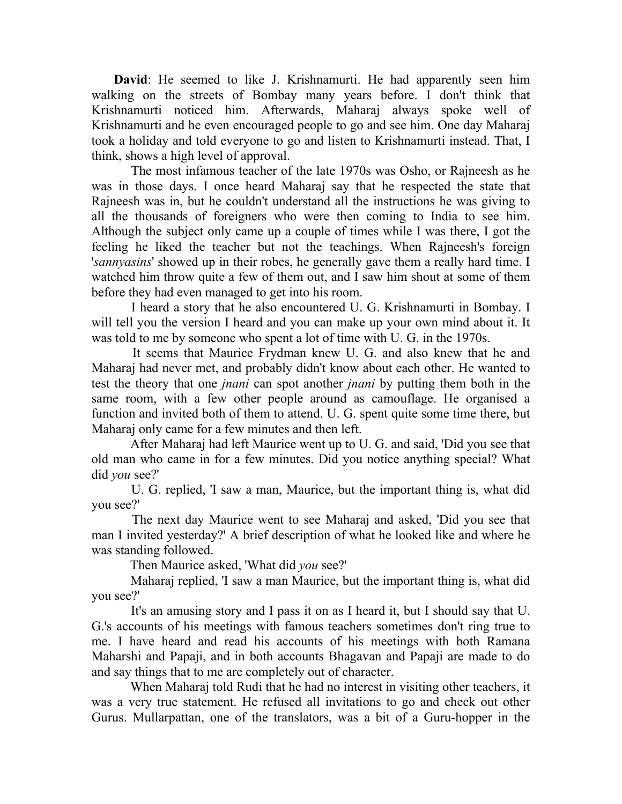David: He seemed to like J. Krishnamurti. He had apparently seen him walking on the streets of Bombay many years before. I don't think that Krishnamurti noticed him. Afterwards, Maharaj always spoke well of Krishnamurti and he even encouraged people to go and see him. One day Maharaj took a holiday and told everyone to go and listen to Krishnamurti instead. That, I think, shows a high level of approval.

 The most infamous teacher of the late 1970s was Osho, or Rajneesh as he was in those days. I once heard Maharaj say that he respected the state that Rajneesh was in, but he couldn't understand all the instructions he was giving to all the thousands of foreigners who were then coming to India to see him. Although the subject only came up a couple of times while I was there, I got the feeling he liked the teacher but not the teachings. When Rajneesh's foreign 'sannyasins' showed up in their robes, he generally gave them a really hard time. I watched him throw quite a few of them out, and I saw him shout at some of them before they had even managed to get into his room.

 I heard a story that he also encountered U. G. Krishnamurti in Bombay. I will tell you the version I heard and you can make up your own mind about it. It was told to me by someone who spent a lot of time with U. G. in the 1970s.

 It seems that Maurice Frydman knew U. G. and also knew that he and Maharaj had never met, and probably didn't know about each other. He wanted to test the theory that one jnani can spot another jnani by putting them both in the same room, with a few other people around as camouflage. He organised a function and invited both of them to attend. U. G. spent quite some time there, but Maharaj only came for a few minutes and then left.

 After Maharaj had left Maurice went up to U. G. and said, 'Did you see that old man who came in for a few minutes. Did you notice anything special? What did you see?'

 U. G. replied, 'I saw a man, Maurice, but the important thing is, what did you see?'

 The next day Maurice went to see Maharaj and asked, 'Did you see that man I invited yesterday?' A brief description of what he looked like and where he was standing followed.

Then Maurice asked, 'What did you see?'

 Maharaj replied, 'I saw a man Maurice, but the important thing is, what did you see?'

 It's an amusing story and I pass it on as I heard it, but I should say that U. G.'s accounts of his meetings with famous teachers sometimes don't ring true to me. I have heard and read his accounts of his meetings with both Ramana Maharshi and Papaji, and in both accounts Bhagavan and Papaji are made to do and say things that to me are completely out of character.

 When Maharaj told Rudi that he had no interest in visiting other teachers, it was a very true statement. He refused all invitations to go and check out other Gurus. Mullarpattan, one of the translators, was a bit of a Guru-hopper in the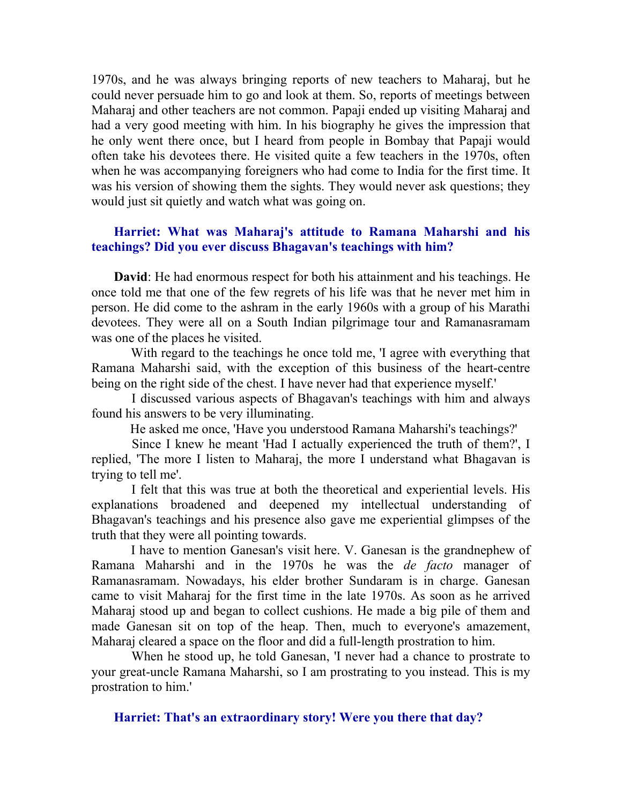1970s, and he was always bringing reports of new teachers to Maharaj, but he could never persuade him to go and look at them. So, reports of meetings between Maharaj and other teachers are not common. Papaji ended up visiting Maharaj and had a very good meeting with him. In his biography he gives the impression that he only went there once, but I heard from people in Bombay that Papaji would often take his devotees there. He visited quite a few teachers in the 1970s, often when he was accompanying foreigners who had come to India for the first time. It was his version of showing them the sights. They would never ask questions; they would just sit quietly and watch what was going on.

## Harriet: What was Maharaj's attitude to Ramana Maharshi and his teachings? Did you ever discuss Bhagavan's teachings with him?

David: He had enormous respect for both his attainment and his teachings. He once told me that one of the few regrets of his life was that he never met him in person. He did come to the ashram in the early 1960s with a group of his Marathi devotees. They were all on a South Indian pilgrimage tour and Ramanasramam was one of the places he visited.

 With regard to the teachings he once told me, 'I agree with everything that Ramana Maharshi said, with the exception of this business of the heart-centre being on the right side of the chest. I have never had that experience myself.'

 I discussed various aspects of Bhagavan's teachings with him and always found his answers to be very illuminating.

He asked me once, 'Have you understood Ramana Maharshi's teachings?'

 Since I knew he meant 'Had I actually experienced the truth of them?', I replied, 'The more I listen to Maharaj, the more I understand what Bhagavan is trying to tell me'.

 I felt that this was true at both the theoretical and experiential levels. His explanations broadened and deepened my intellectual understanding of Bhagavan's teachings and his presence also gave me experiential glimpses of the truth that they were all pointing towards.

 I have to mention Ganesan's visit here. V. Ganesan is the grandnephew of Ramana Maharshi and in the 1970s he was the de facto manager of Ramanasramam. Nowadays, his elder brother Sundaram is in charge. Ganesan came to visit Maharaj for the first time in the late 1970s. As soon as he arrived Maharaj stood up and began to collect cushions. He made a big pile of them and made Ganesan sit on top of the heap. Then, much to everyone's amazement, Maharaj cleared a space on the floor and did a full-length prostration to him.

 When he stood up, he told Ganesan, 'I never had a chance to prostrate to your great-uncle Ramana Maharshi, so I am prostrating to you instead. This is my prostration to him.'

## Harriet: That's an extraordinary story! Were you there that day?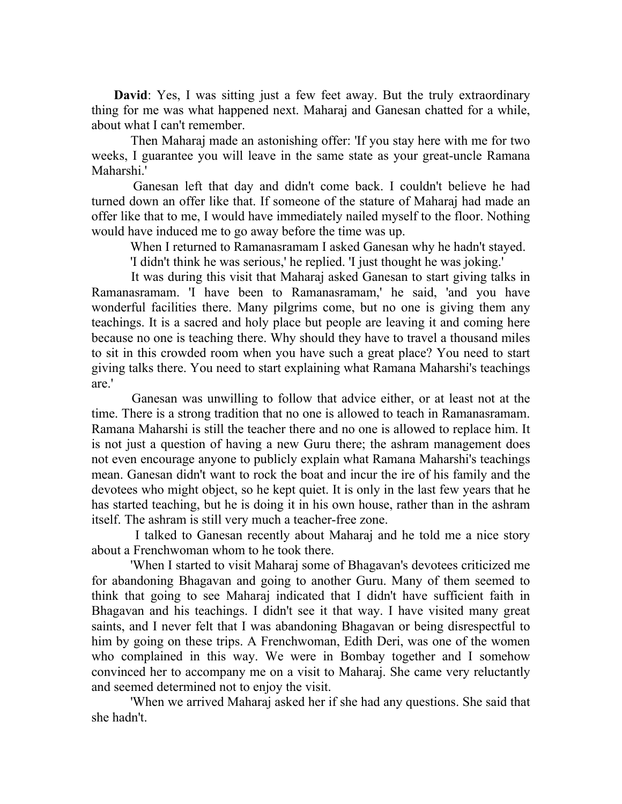David: Yes, I was sitting just a few feet away. But the truly extraordinary thing for me was what happened next. Maharaj and Ganesan chatted for a while, about what I can't remember.

 Then Maharaj made an astonishing offer: 'If you stay here with me for two weeks, I guarantee you will leave in the same state as your great-uncle Ramana Maharshi.'

 Ganesan left that day and didn't come back. I couldn't believe he had turned down an offer like that. If someone of the stature of Maharaj had made an offer like that to me, I would have immediately nailed myself to the floor. Nothing would have induced me to go away before the time was up.

When I returned to Ramanasramam I asked Ganesan why he hadn't stayed.

'I didn't think he was serious,' he replied. 'I just thought he was joking.'

 It was during this visit that Maharaj asked Ganesan to start giving talks in Ramanasramam. 'I have been to Ramanasramam,' he said, 'and you have wonderful facilities there. Many pilgrims come, but no one is giving them any teachings. It is a sacred and holy place but people are leaving it and coming here because no one is teaching there. Why should they have to travel a thousand miles to sit in this crowded room when you have such a great place? You need to start giving talks there. You need to start explaining what Ramana Maharshi's teachings are.'

 Ganesan was unwilling to follow that advice either, or at least not at the time. There is a strong tradition that no one is allowed to teach in Ramanasramam. Ramana Maharshi is still the teacher there and no one is allowed to replace him. It is not just a question of having a new Guru there; the ashram management does not even encourage anyone to publicly explain what Ramana Maharshi's teachings mean. Ganesan didn't want to rock the boat and incur the ire of his family and the devotees who might object, so he kept quiet. It is only in the last few years that he has started teaching, but he is doing it in his own house, rather than in the ashram itself. The ashram is still very much a teacher-free zone.

 I talked to Ganesan recently about Maharaj and he told me a nice story about a Frenchwoman whom to he took there.

 'When I started to visit Maharaj some of Bhagavan's devotees criticized me for abandoning Bhagavan and going to another Guru. Many of them seemed to think that going to see Maharaj indicated that I didn't have sufficient faith in Bhagavan and his teachings. I didn't see it that way. I have visited many great saints, and I never felt that I was abandoning Bhagavan or being disrespectful to him by going on these trips. A Frenchwoman, Edith Deri, was one of the women who complained in this way. We were in Bombay together and I somehow convinced her to accompany me on a visit to Maharaj. She came very reluctantly and seemed determined not to enjoy the visit.

 'When we arrived Maharaj asked her if she had any questions. She said that she hadn't.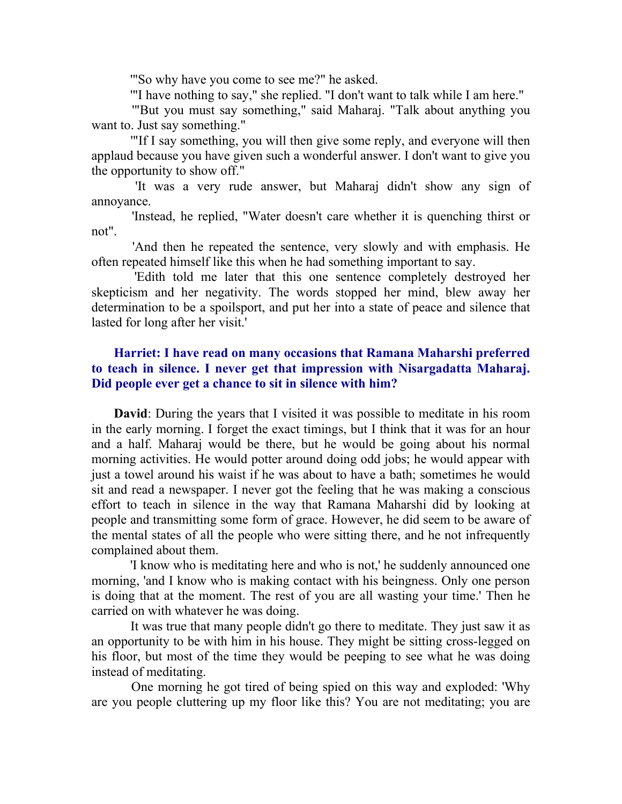'"So why have you come to see me?" he asked.

'"I have nothing to say," she replied. "I don't want to talk while I am here."

 '"But you must say something," said Maharaj. "Talk about anything you want to. Just say something."

 '"If I say something, you will then give some reply, and everyone will then applaud because you have given such a wonderful answer. I don't want to give you the opportunity to show off."

 'It was a very rude answer, but Maharaj didn't show any sign of annoyance.

 'Instead, he replied, "Water doesn't care whether it is quenching thirst or not".

 'And then he repeated the sentence, very slowly and with emphasis. He often repeated himself like this when he had something important to say.

 'Edith told me later that this one sentence completely destroyed her skepticism and her negativity. The words stopped her mind, blew away her determination to be a spoilsport, and put her into a state of peace and silence that lasted for long after her visit.'

## Harriet: I have read on many occasions that Ramana Maharshi preferred to teach in silence. I never get that impression with Nisargadatta Maharaj. Did people ever get a chance to sit in silence with him?

David: During the years that I visited it was possible to meditate in his room in the early morning. I forget the exact timings, but I think that it was for an hour and a half. Maharaj would be there, but he would be going about his normal morning activities. He would potter around doing odd jobs; he would appear with just a towel around his waist if he was about to have a bath; sometimes he would sit and read a newspaper. I never got the feeling that he was making a conscious effort to teach in silence in the way that Ramana Maharshi did by looking at people and transmitting some form of grace. However, he did seem to be aware of the mental states of all the people who were sitting there, and he not infrequently complained about them.

 'I know who is meditating here and who is not,' he suddenly announced one morning, 'and I know who is making contact with his beingness. Only one person is doing that at the moment. The rest of you are all wasting your time.' Then he carried on with whatever he was doing.

 It was true that many people didn't go there to meditate. They just saw it as an opportunity to be with him in his house. They might be sitting cross-legged on his floor, but most of the time they would be peeping to see what he was doing instead of meditating.

 One morning he got tired of being spied on this way and exploded: 'Why are you people cluttering up my floor like this? You are not meditating; you are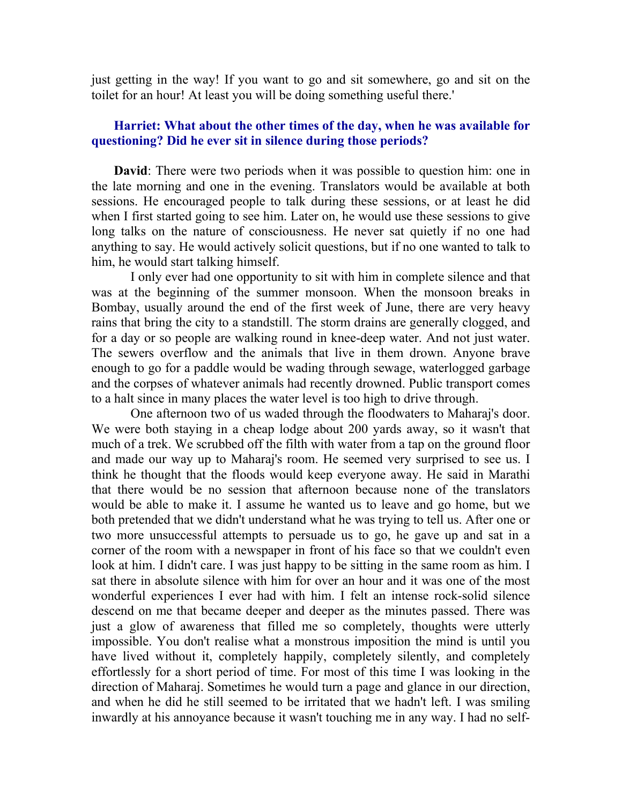just getting in the way! If you want to go and sit somewhere, go and sit on the toilet for an hour! At least you will be doing something useful there.'

## Harriet: What about the other times of the day, when he was available for questioning? Did he ever sit in silence during those periods?

David: There were two periods when it was possible to question him: one in the late morning and one in the evening. Translators would be available at both sessions. He encouraged people to talk during these sessions, or at least he did when I first started going to see him. Later on, he would use these sessions to give long talks on the nature of consciousness. He never sat quietly if no one had anything to say. He would actively solicit questions, but if no one wanted to talk to him, he would start talking himself.

 I only ever had one opportunity to sit with him in complete silence and that was at the beginning of the summer monsoon. When the monsoon breaks in Bombay, usually around the end of the first week of June, there are very heavy rains that bring the city to a standstill. The storm drains are generally clogged, and for a day or so people are walking round in knee-deep water. And not just water. The sewers overflow and the animals that live in them drown. Anyone brave enough to go for a paddle would be wading through sewage, waterlogged garbage and the corpses of whatever animals had recently drowned. Public transport comes to a halt since in many places the water level is too high to drive through.

 One afternoon two of us waded through the floodwaters to Maharaj's door. We were both staying in a cheap lodge about 200 yards away, so it wasn't that much of a trek. We scrubbed off the filth with water from a tap on the ground floor and made our way up to Maharaj's room. He seemed very surprised to see us. I think he thought that the floods would keep everyone away. He said in Marathi that there would be no session that afternoon because none of the translators would be able to make it. I assume he wanted us to leave and go home, but we both pretended that we didn't understand what he was trying to tell us. After one or two more unsuccessful attempts to persuade us to go, he gave up and sat in a corner of the room with a newspaper in front of his face so that we couldn't even look at him. I didn't care. I was just happy to be sitting in the same room as him. I sat there in absolute silence with him for over an hour and it was one of the most wonderful experiences I ever had with him. I felt an intense rock-solid silence descend on me that became deeper and deeper as the minutes passed. There was just a glow of awareness that filled me so completely, thoughts were utterly impossible. You don't realise what a monstrous imposition the mind is until you have lived without it, completely happily, completely silently, and completely effortlessly for a short period of time. For most of this time I was looking in the direction of Maharaj. Sometimes he would turn a page and glance in our direction, and when he did he still seemed to be irritated that we hadn't left. I was smiling inwardly at his annoyance because it wasn't touching me in any way. I had no self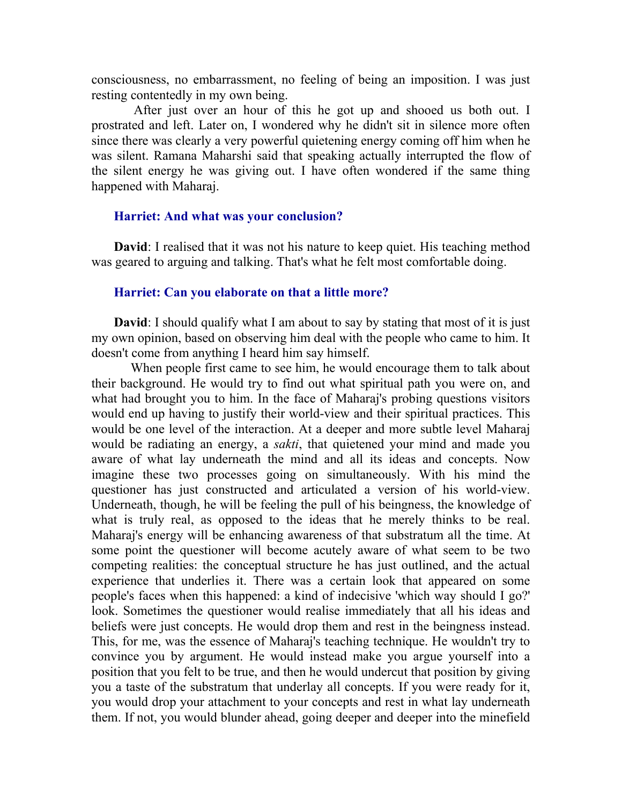consciousness, no embarrassment, no feeling of being an imposition. I was just resting contentedly in my own being.

 After just over an hour of this he got up and shooed us both out. I prostrated and left. Later on, I wondered why he didn't sit in silence more often since there was clearly a very powerful quietening energy coming off him when he was silent. Ramana Maharshi said that speaking actually interrupted the flow of the silent energy he was giving out. I have often wondered if the same thing happened with Maharaj.

#### Harriet: And what was your conclusion?

David: I realised that it was not his nature to keep quiet. His teaching method was geared to arguing and talking. That's what he felt most comfortable doing.

## Harriet: Can you elaborate on that a little more?

**David:** I should qualify what I am about to say by stating that most of it is just my own opinion, based on observing him deal with the people who came to him. It doesn't come from anything I heard him say himself.

 When people first came to see him, he would encourage them to talk about their background. He would try to find out what spiritual path you were on, and what had brought you to him. In the face of Maharaj's probing questions visitors would end up having to justify their world-view and their spiritual practices. This would be one level of the interaction. At a deeper and more subtle level Maharaj would be radiating an energy, a *sakti*, that quietened your mind and made you aware of what lay underneath the mind and all its ideas and concepts. Now imagine these two processes going on simultaneously. With his mind the questioner has just constructed and articulated a version of his world-view. Underneath, though, he will be feeling the pull of his beingness, the knowledge of what is truly real, as opposed to the ideas that he merely thinks to be real. Maharaj's energy will be enhancing awareness of that substratum all the time. At some point the questioner will become acutely aware of what seem to be two competing realities: the conceptual structure he has just outlined, and the actual experience that underlies it. There was a certain look that appeared on some people's faces when this happened: a kind of indecisive 'which way should I go?' look. Sometimes the questioner would realise immediately that all his ideas and beliefs were just concepts. He would drop them and rest in the beingness instead. This, for me, was the essence of Maharaj's teaching technique. He wouldn't try to convince you by argument. He would instead make you argue yourself into a position that you felt to be true, and then he would undercut that position by giving you a taste of the substratum that underlay all concepts. If you were ready for it, you would drop your attachment to your concepts and rest in what lay underneath them. If not, you would blunder ahead, going deeper and deeper into the minefield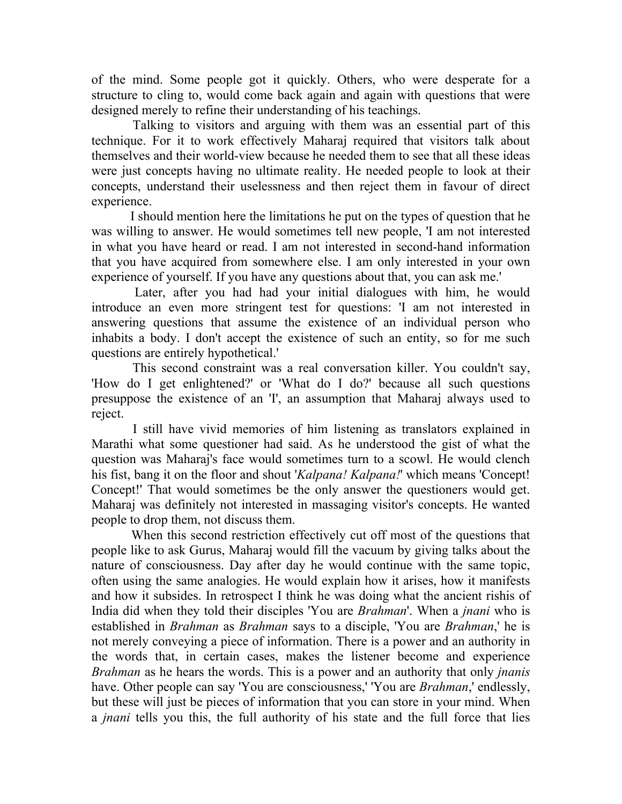of the mind. Some people got it quickly. Others, who were desperate for a structure to cling to, would come back again and again with questions that were designed merely to refine their understanding of his teachings.

 Talking to visitors and arguing with them was an essential part of this technique. For it to work effectively Maharaj required that visitors talk about themselves and their world-view because he needed them to see that all these ideas were just concepts having no ultimate reality. He needed people to look at their concepts, understand their uselessness and then reject them in favour of direct experience.

 I should mention here the limitations he put on the types of question that he was willing to answer. He would sometimes tell new people, 'I am not interested in what you have heard or read. I am not interested in second-hand information that you have acquired from somewhere else. I am only interested in your own experience of yourself. If you have any questions about that, you can ask me.'

 Later, after you had had your initial dialogues with him, he would introduce an even more stringent test for questions: 'I am not interested in answering questions that assume the existence of an individual person who inhabits a body. I don't accept the existence of such an entity, so for me such questions are entirely hypothetical.'

 This second constraint was a real conversation killer. You couldn't say, 'How do I get enlightened?' or 'What do I do?' because all such questions presuppose the existence of an 'I', an assumption that Maharaj always used to reject.

 I still have vivid memories of him listening as translators explained in Marathi what some questioner had said. As he understood the gist of what the question was Maharaj's face would sometimes turn to a scowl. He would clench his fist, bang it on the floor and shout 'Kalpana! Kalpana!' which means 'Concept! Concept!' That would sometimes be the only answer the questioners would get. Maharaj was definitely not interested in massaging visitor's concepts. He wanted people to drop them, not discuss them.

 When this second restriction effectively cut off most of the questions that people like to ask Gurus, Maharaj would fill the vacuum by giving talks about the nature of consciousness. Day after day he would continue with the same topic, often using the same analogies. He would explain how it arises, how it manifests and how it subsides. In retrospect I think he was doing what the ancient rishis of India did when they told their disciples 'You are Brahman'. When a jnani who is established in *Brahman* as *Brahman* says to a disciple, 'You are *Brahman*,' he is not merely conveying a piece of information. There is a power and an authority in the words that, in certain cases, makes the listener become and experience Brahman as he hears the words. This is a power and an authority that only *jnanis* have. Other people can say 'You are consciousness,' 'You are *Brahman*,' endlessly, but these will just be pieces of information that you can store in your mind. When a *jnani* tells you this, the full authority of his state and the full force that lies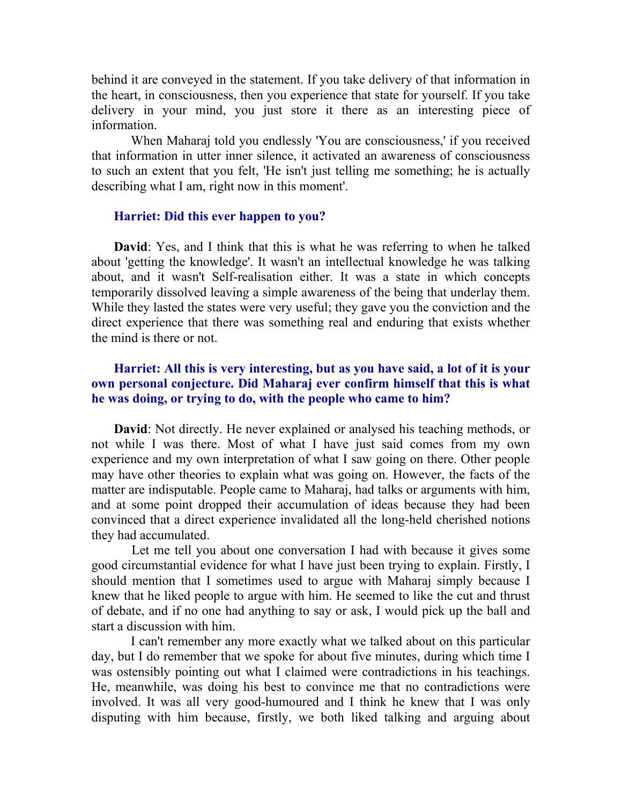behind it are conveyed in the statement. If you take delivery of that information in the heart, in consciousness, then you experience that state for yourself. If you take delivery in your mind, you just store it there as an interesting piece of information.

 When Maharaj told you endlessly 'You are consciousness,' if you received that information in utter inner silence, it activated an awareness of consciousness to such an extent that you felt, 'He isn't just telling me something; he is actually describing what I am, right now in this moment'.

#### Harriet: Did this ever happen to you?

David: Yes, and I think that this is what he was referring to when he talked about 'getting the knowledge'. It wasn't an intellectual knowledge he was talking about, and it wasn't Self-realisation either. It was a state in which concepts temporarily dissolved leaving a simple awareness of the being that underlay them. While they lasted the states were very useful; they gave you the conviction and the direct experience that there was something real and enduring that exists whether the mind is there or not.

## Harriet: All this is very interesting, but as you have said, a lot of it is your own personal conjecture. Did Maharaj ever confirm himself that this is what he was doing, or trying to do, with the people who came to him?

David: Not directly. He never explained or analysed his teaching methods, or not while I was there. Most of what I have just said comes from my own experience and my own interpretation of what I saw going on there. Other people may have other theories to explain what was going on. However, the facts of the matter are indisputable. People came to Maharaj, had talks or arguments with him, and at some point dropped their accumulation of ideas because they had been convinced that a direct experience invalidated all the long-held cherished notions they had accumulated.

 Let me tell you about one conversation I had with because it gives some good circumstantial evidence for what I have just been trying to explain. Firstly, I should mention that I sometimes used to argue with Maharaj simply because I knew that he liked people to argue with him. He seemed to like the cut and thrust of debate, and if no one had anything to say or ask, I would pick up the ball and start a discussion with him.

 I can't remember any more exactly what we talked about on this particular day, but I do remember that we spoke for about five minutes, during which time I was ostensibly pointing out what I claimed were contradictions in his teachings. He, meanwhile, was doing his best to convince me that no contradictions were involved. It was all very good-humoured and I think he knew that I was only disputing with him because, firstly, we both liked talking and arguing about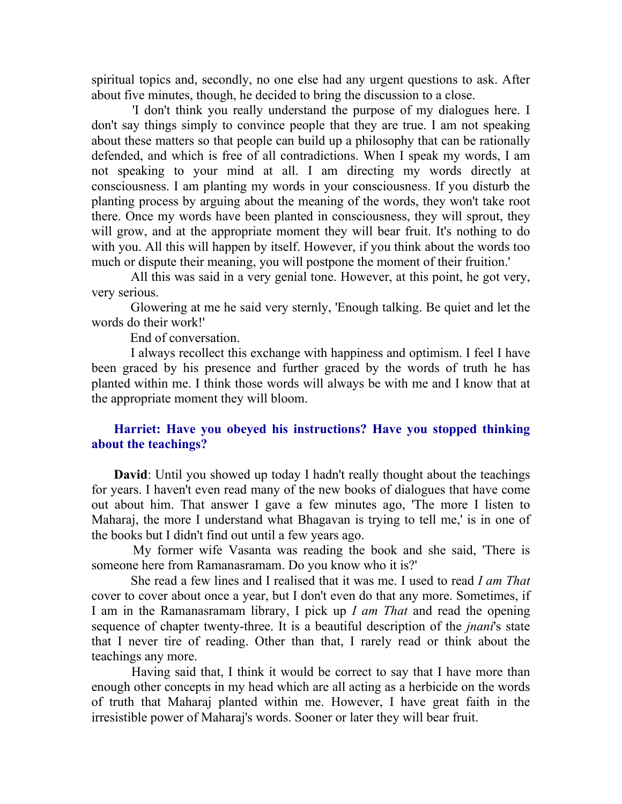spiritual topics and, secondly, no one else had any urgent questions to ask. After about five minutes, though, he decided to bring the discussion to a close.

 'I don't think you really understand the purpose of my dialogues here. I don't say things simply to convince people that they are true. I am not speaking about these matters so that people can build up a philosophy that can be rationally defended, and which is free of all contradictions. When I speak my words, I am not speaking to your mind at all. I am directing my words directly at consciousness. I am planting my words in your consciousness. If you disturb the planting process by arguing about the meaning of the words, they won't take root there. Once my words have been planted in consciousness, they will sprout, they will grow, and at the appropriate moment they will bear fruit. It's nothing to do with you. All this will happen by itself. However, if you think about the words too much or dispute their meaning, you will postpone the moment of their fruition.'

 All this was said in a very genial tone. However, at this point, he got very, very serious.

 Glowering at me he said very sternly, 'Enough talking. Be quiet and let the words do their work!'

End of conversation.

 I always recollect this exchange with happiness and optimism. I feel I have been graced by his presence and further graced by the words of truth he has planted within me. I think those words will always be with me and I know that at the appropriate moment they will bloom.

## Harriet: Have you obeyed his instructions? Have you stopped thinking about the teachings?

David: Until you showed up today I hadn't really thought about the teachings for years. I haven't even read many of the new books of dialogues that have come out about him. That answer I gave a few minutes ago, 'The more I listen to Maharaj, the more I understand what Bhagavan is trying to tell me,' is in one of the books but I didn't find out until a few years ago.

 My former wife Vasanta was reading the book and she said, 'There is someone here from Ramanasramam. Do you know who it is?'

 She read a few lines and I realised that it was me. I used to read I am That cover to cover about once a year, but I don't even do that any more. Sometimes, if I am in the Ramanasramam library, I pick up I am That and read the opening sequence of chapter twenty-three. It is a beautiful description of the *jnani's* state that I never tire of reading. Other than that, I rarely read or think about the teachings any more.

 Having said that, I think it would be correct to say that I have more than enough other concepts in my head which are all acting as a herbicide on the words of truth that Maharaj planted within me. However, I have great faith in the irresistible power of Maharaj's words. Sooner or later they will bear fruit.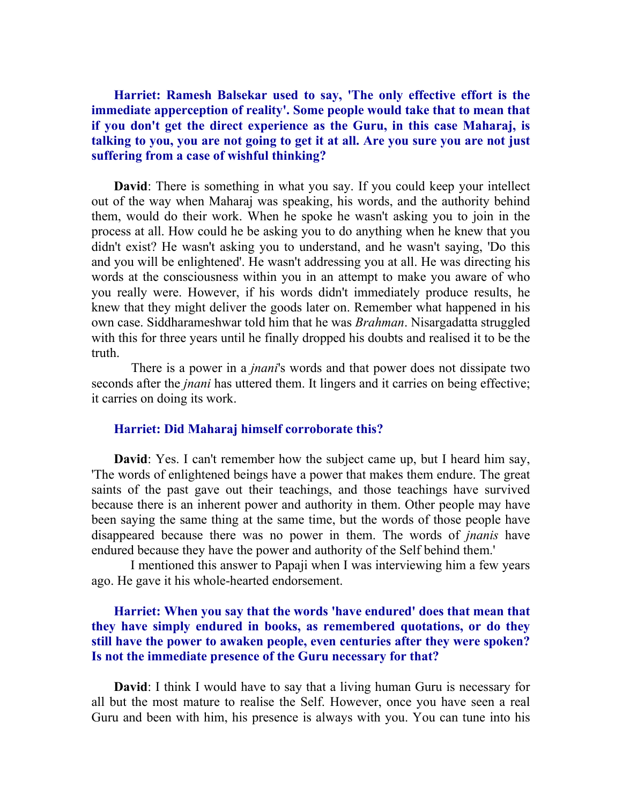Harriet: Ramesh Balsekar used to say, 'The only effective effort is the immediate apperception of reality'. Some people would take that to mean that if you don't get the direct experience as the Guru, in this case Maharaj, is talking to you, you are not going to get it at all. Are you sure you are not just suffering from a case of wishful thinking?

David: There is something in what you say. If you could keep your intellect out of the way when Maharaj was speaking, his words, and the authority behind them, would do their work. When he spoke he wasn't asking you to join in the process at all. How could he be asking you to do anything when he knew that you didn't exist? He wasn't asking you to understand, and he wasn't saying, 'Do this and you will be enlightened'. He wasn't addressing you at all. He was directing his words at the consciousness within you in an attempt to make you aware of who you really were. However, if his words didn't immediately produce results, he knew that they might deliver the goods later on. Remember what happened in his own case. Siddharameshwar told him that he was Brahman. Nisargadatta struggled with this for three years until he finally dropped his doubts and realised it to be the truth.

There is a power in a *jnani*'s words and that power does not dissipate two seconds after the *jnani* has uttered them. It lingers and it carries on being effective; it carries on doing its work.

#### Harriet: Did Maharaj himself corroborate this?

David: Yes. I can't remember how the subject came up, but I heard him say, 'The words of enlightened beings have a power that makes them endure. The great saints of the past gave out their teachings, and those teachings have survived because there is an inherent power and authority in them. Other people may have been saying the same thing at the same time, but the words of those people have disappeared because there was no power in them. The words of *jnanis* have endured because they have the power and authority of the Self behind them.'

 I mentioned this answer to Papaji when I was interviewing him a few years ago. He gave it his whole-hearted endorsement.

## Harriet: When you say that the words 'have endured' does that mean that they have simply endured in books, as remembered quotations, or do they still have the power to awaken people, even centuries after they were spoken? Is not the immediate presence of the Guru necessary for that?

David: I think I would have to say that a living human Guru is necessary for all but the most mature to realise the Self. However, once you have seen a real Guru and been with him, his presence is always with you. You can tune into his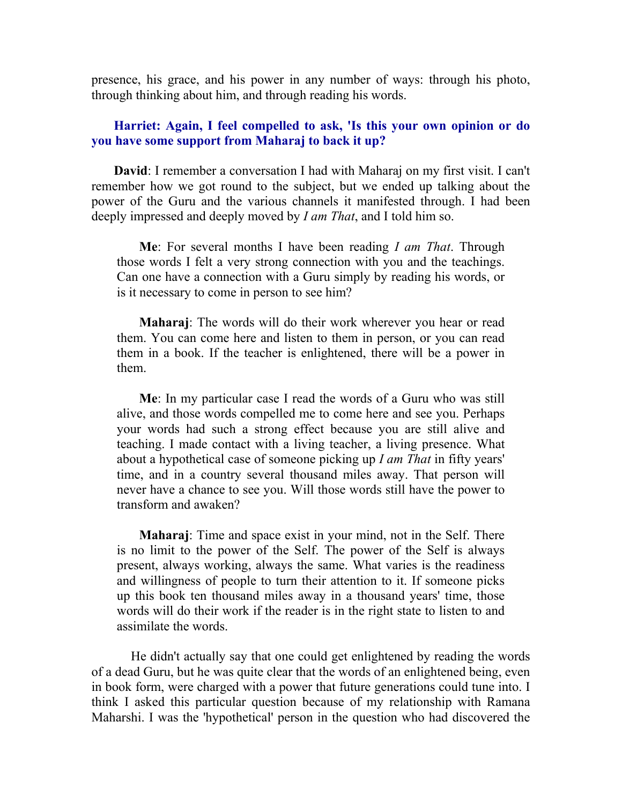presence, his grace, and his power in any number of ways: through his photo, through thinking about him, and through reading his words.

## Harriet: Again, I feel compelled to ask, 'Is this your own opinion or do you have some support from Maharaj to back it up?

David: I remember a conversation I had with Maharaj on my first visit. I can't remember how we got round to the subject, but we ended up talking about the power of the Guru and the various channels it manifested through. I had been deeply impressed and deeply moved by *I am That*, and I told him so.

Me: For several months I have been reading I am That. Through those words I felt a very strong connection with you and the teachings. Can one have a connection with a Guru simply by reading his words, or is it necessary to come in person to see him?

Maharaj: The words will do their work wherever you hear or read them. You can come here and listen to them in person, or you can read them in a book. If the teacher is enlightened, there will be a power in them.

Me: In my particular case I read the words of a Guru who was still alive, and those words compelled me to come here and see you. Perhaps your words had such a strong effect because you are still alive and teaching. I made contact with a living teacher, a living presence. What about a hypothetical case of someone picking up I am That in fifty years' time, and in a country several thousand miles away. That person will never have a chance to see you. Will those words still have the power to transform and awaken?

Maharaj: Time and space exist in your mind, not in the Self. There is no limit to the power of the Self. The power of the Self is always present, always working, always the same. What varies is the readiness and willingness of people to turn their attention to it. If someone picks up this book ten thousand miles away in a thousand years' time, those words will do their work if the reader is in the right state to listen to and assimilate the words.

 He didn't actually say that one could get enlightened by reading the words of a dead Guru, but he was quite clear that the words of an enlightened being, even in book form, were charged with a power that future generations could tune into. I think I asked this particular question because of my relationship with Ramana Maharshi. I was the 'hypothetical' person in the question who had discovered the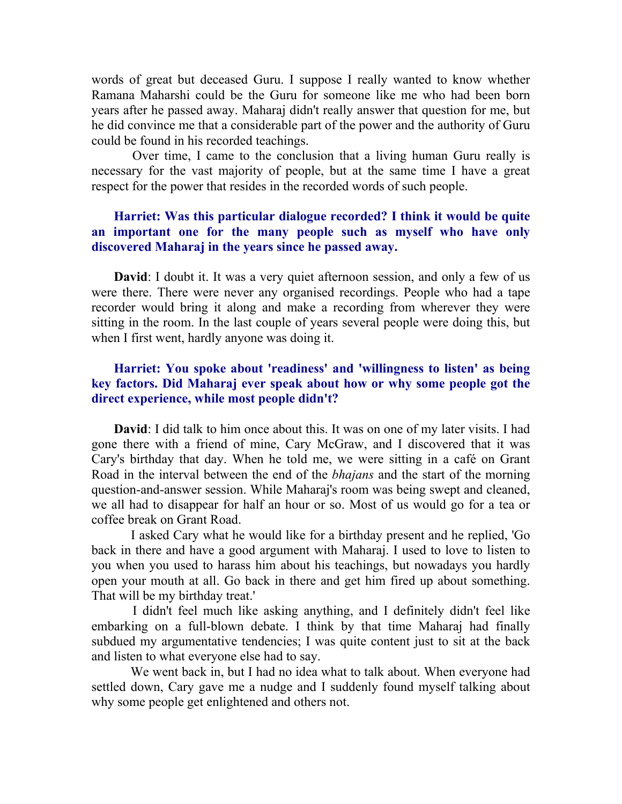words of great but deceased Guru. I suppose I really wanted to know whether Ramana Maharshi could be the Guru for someone like me who had been born years after he passed away. Maharaj didn't really answer that question for me, but he did convince me that a considerable part of the power and the authority of Guru could be found in his recorded teachings.

 Over time, I came to the conclusion that a living human Guru really is necessary for the vast majority of people, but at the same time I have a great respect for the power that resides in the recorded words of such people.

## Harriet: Was this particular dialogue recorded? I think it would be quite an important one for the many people such as myself who have only discovered Maharaj in the years since he passed away.

David: I doubt it. It was a very quiet afternoon session, and only a few of us were there. There were never any organised recordings. People who had a tape recorder would bring it along and make a recording from wherever they were sitting in the room. In the last couple of years several people were doing this, but when I first went, hardly anyone was doing it.

## Harriet: You spoke about 'readiness' and 'willingness to listen' as being key factors. Did Maharaj ever speak about how or why some people got the direct experience, while most people didn't?

David: I did talk to him once about this. It was on one of my later visits. I had gone there with a friend of mine, Cary McGraw, and I discovered that it was Cary's birthday that day. When he told me, we were sitting in a café on Grant Road in the interval between the end of the *bhajans* and the start of the morning question-and-answer session. While Maharaj's room was being swept and cleaned, we all had to disappear for half an hour or so. Most of us would go for a tea or coffee break on Grant Road.

 I asked Cary what he would like for a birthday present and he replied, 'Go back in there and have a good argument with Maharaj. I used to love to listen to you when you used to harass him about his teachings, but nowadays you hardly open your mouth at all. Go back in there and get him fired up about something. That will be my birthday treat.'

 I didn't feel much like asking anything, and I definitely didn't feel like embarking on a full-blown debate. I think by that time Maharaj had finally subdued my argumentative tendencies; I was quite content just to sit at the back and listen to what everyone else had to say.

 We went back in, but I had no idea what to talk about. When everyone had settled down, Cary gave me a nudge and I suddenly found myself talking about why some people get enlightened and others not.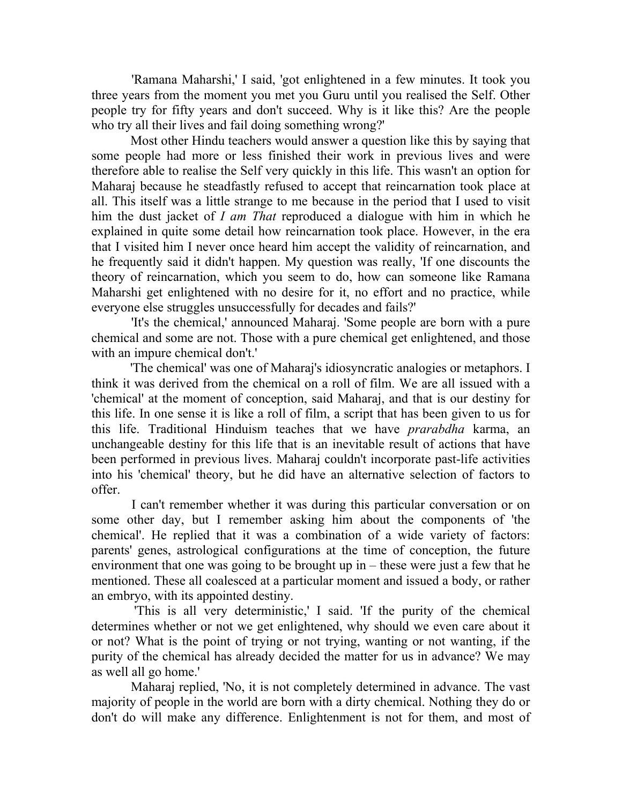'Ramana Maharshi,' I said, 'got enlightened in a few minutes. It took you three years from the moment you met you Guru until you realised the Self. Other people try for fifty years and don't succeed. Why is it like this? Are the people who try all their lives and fail doing something wrong?'

 Most other Hindu teachers would answer a question like this by saying that some people had more or less finished their work in previous lives and were therefore able to realise the Self very quickly in this life. This wasn't an option for Maharaj because he steadfastly refused to accept that reincarnation took place at all. This itself was a little strange to me because in the period that I used to visit him the dust jacket of I am That reproduced a dialogue with him in which he explained in quite some detail how reincarnation took place. However, in the era that I visited him I never once heard him accept the validity of reincarnation, and he frequently said it didn't happen. My question was really, 'If one discounts the theory of reincarnation, which you seem to do, how can someone like Ramana Maharshi get enlightened with no desire for it, no effort and no practice, while everyone else struggles unsuccessfully for decades and fails?'

 'It's the chemical,' announced Maharaj. 'Some people are born with a pure chemical and some are not. Those with a pure chemical get enlightened, and those with an impure chemical don't.'

 'The chemical' was one of Maharaj's idiosyncratic analogies or metaphors. I think it was derived from the chemical on a roll of film. We are all issued with a 'chemical' at the moment of conception, said Maharaj, and that is our destiny for this life. In one sense it is like a roll of film, a script that has been given to us for this life. Traditional Hinduism teaches that we have *prarabdha* karma, an unchangeable destiny for this life that is an inevitable result of actions that have been performed in previous lives. Maharaj couldn't incorporate past-life activities into his 'chemical' theory, but he did have an alternative selection of factors to offer.

 I can't remember whether it was during this particular conversation or on some other day, but I remember asking him about the components of 'the chemical'. He replied that it was a combination of a wide variety of factors: parents' genes, astrological configurations at the time of conception, the future environment that one was going to be brought up in – these were just a few that he mentioned. These all coalesced at a particular moment and issued a body, or rather an embryo, with its appointed destiny.

 'This is all very deterministic,' I said. 'If the purity of the chemical determines whether or not we get enlightened, why should we even care about it or not? What is the point of trying or not trying, wanting or not wanting, if the purity of the chemical has already decided the matter for us in advance? We may as well all go home.'

 Maharaj replied, 'No, it is not completely determined in advance. The vast majority of people in the world are born with a dirty chemical. Nothing they do or don't do will make any difference. Enlightenment is not for them, and most of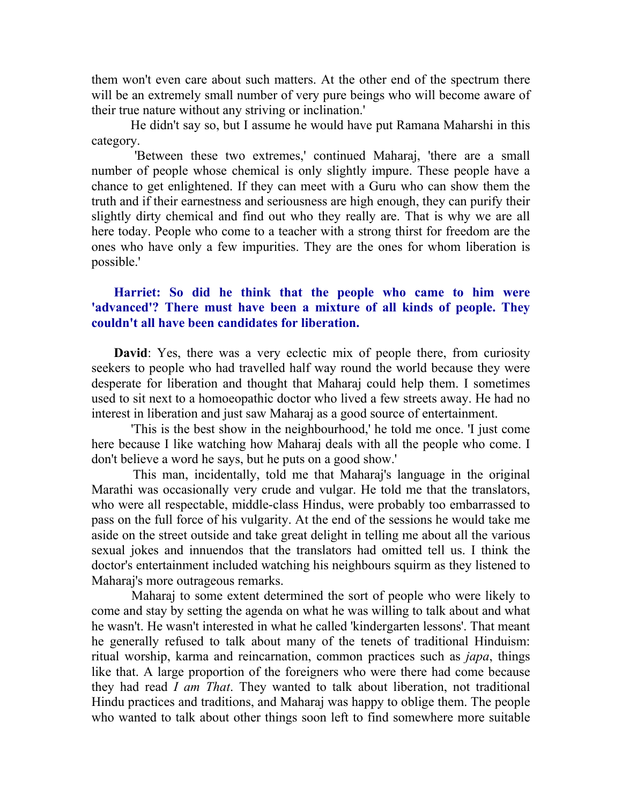them won't even care about such matters. At the other end of the spectrum there will be an extremely small number of very pure beings who will become aware of their true nature without any striving or inclination.'

 He didn't say so, but I assume he would have put Ramana Maharshi in this category.

 'Between these two extremes,' continued Maharaj, 'there are a small number of people whose chemical is only slightly impure. These people have a chance to get enlightened. If they can meet with a Guru who can show them the truth and if their earnestness and seriousness are high enough, they can purify their slightly dirty chemical and find out who they really are. That is why we are all here today. People who come to a teacher with a strong thirst for freedom are the ones who have only a few impurities. They are the ones for whom liberation is possible.'

## Harriet: So did he think that the people who came to him were 'advanced'? There must have been a mixture of all kinds of people. They couldn't all have been candidates for liberation.

David: Yes, there was a very eclectic mix of people there, from curiosity seekers to people who had travelled half way round the world because they were desperate for liberation and thought that Maharaj could help them. I sometimes used to sit next to a homoeopathic doctor who lived a few streets away. He had no interest in liberation and just saw Maharaj as a good source of entertainment.

 'This is the best show in the neighbourhood,' he told me once. 'I just come here because I like watching how Maharaj deals with all the people who come. I don't believe a word he says, but he puts on a good show.'

 This man, incidentally, told me that Maharaj's language in the original Marathi was occasionally very crude and vulgar. He told me that the translators, who were all respectable, middle-class Hindus, were probably too embarrassed to pass on the full force of his vulgarity. At the end of the sessions he would take me aside on the street outside and take great delight in telling me about all the various sexual jokes and innuendos that the translators had omitted tell us. I think the doctor's entertainment included watching his neighbours squirm as they listened to Maharaj's more outrageous remarks.

 Maharaj to some extent determined the sort of people who were likely to come and stay by setting the agenda on what he was willing to talk about and what he wasn't. He wasn't interested in what he called 'kindergarten lessons'. That meant he generally refused to talk about many of the tenets of traditional Hinduism: ritual worship, karma and reincarnation, common practices such as japa, things like that. A large proportion of the foreigners who were there had come because they had read I am That. They wanted to talk about liberation, not traditional Hindu practices and traditions, and Maharaj was happy to oblige them. The people who wanted to talk about other things soon left to find somewhere more suitable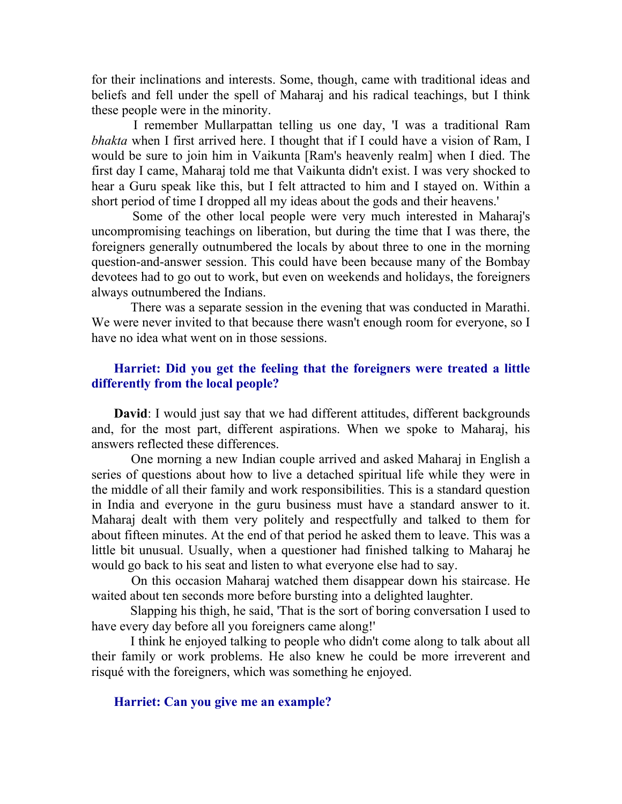for their inclinations and interests. Some, though, came with traditional ideas and beliefs and fell under the spell of Maharaj and his radical teachings, but I think these people were in the minority.

 I remember Mullarpattan telling us one day, 'I was a traditional Ram bhakta when I first arrived here. I thought that if I could have a vision of Ram, I would be sure to join him in Vaikunta [Ram's heavenly realm] when I died. The first day I came, Maharaj told me that Vaikunta didn't exist. I was very shocked to hear a Guru speak like this, but I felt attracted to him and I stayed on. Within a short period of time I dropped all my ideas about the gods and their heavens.'

 Some of the other local people were very much interested in Maharaj's uncompromising teachings on liberation, but during the time that I was there, the foreigners generally outnumbered the locals by about three to one in the morning question-and-answer session. This could have been because many of the Bombay devotees had to go out to work, but even on weekends and holidays, the foreigners always outnumbered the Indians.

 There was a separate session in the evening that was conducted in Marathi. We were never invited to that because there wasn't enough room for everyone, so I have no idea what went on in those sessions.

## Harriet: Did you get the feeling that the foreigners were treated a little differently from the local people?

David: I would just say that we had different attitudes, different backgrounds and, for the most part, different aspirations. When we spoke to Maharaj, his answers reflected these differences.

 One morning a new Indian couple arrived and asked Maharaj in English a series of questions about how to live a detached spiritual life while they were in the middle of all their family and work responsibilities. This is a standard question in India and everyone in the guru business must have a standard answer to it. Maharaj dealt with them very politely and respectfully and talked to them for about fifteen minutes. At the end of that period he asked them to leave. This was a little bit unusual. Usually, when a questioner had finished talking to Maharaj he would go back to his seat and listen to what everyone else had to say.

 On this occasion Maharaj watched them disappear down his staircase. He waited about ten seconds more before bursting into a delighted laughter.

 Slapping his thigh, he said, 'That is the sort of boring conversation I used to have every day before all you foreigners came along!'

 I think he enjoyed talking to people who didn't come along to talk about all their family or work problems. He also knew he could be more irreverent and risqué with the foreigners, which was something he enjoyed.

#### Harriet: Can you give me an example?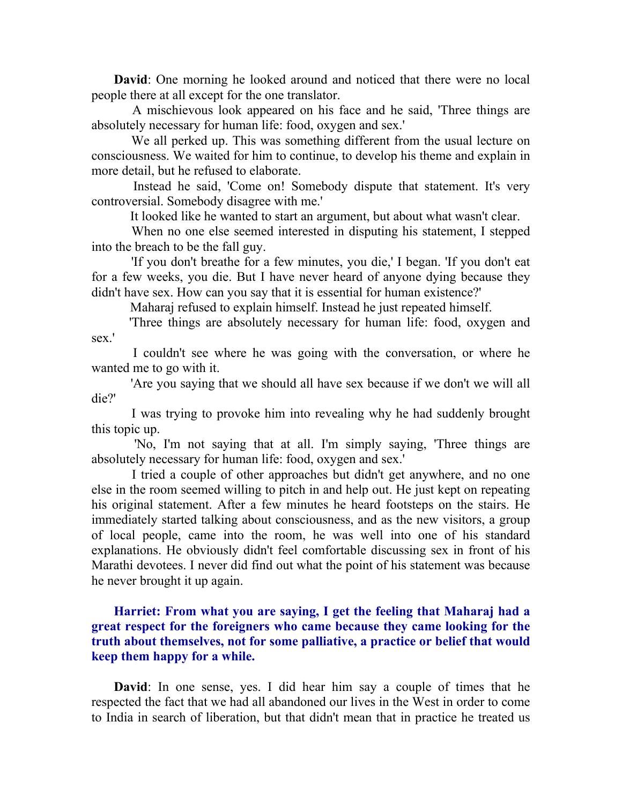David: One morning he looked around and noticed that there were no local people there at all except for the one translator.

 A mischievous look appeared on his face and he said, 'Three things are absolutely necessary for human life: food, oxygen and sex.'

 We all perked up. This was something different from the usual lecture on consciousness. We waited for him to continue, to develop his theme and explain in more detail, but he refused to elaborate.

 Instead he said, 'Come on! Somebody dispute that statement. It's very controversial. Somebody disagree with me.'

It looked like he wanted to start an argument, but about what wasn't clear.

 When no one else seemed interested in disputing his statement, I stepped into the breach to be the fall guy.

 'If you don't breathe for a few minutes, you die,' I began. 'If you don't eat for a few weeks, you die. But I have never heard of anyone dying because they didn't have sex. How can you say that it is essential for human existence?'

Maharaj refused to explain himself. Instead he just repeated himself.

 'Three things are absolutely necessary for human life: food, oxygen and sex.'

 I couldn't see where he was going with the conversation, or where he wanted me to go with it.

 'Are you saying that we should all have sex because if we don't we will all die?'

 I was trying to provoke him into revealing why he had suddenly brought this topic up.

 'No, I'm not saying that at all. I'm simply saying, 'Three things are absolutely necessary for human life: food, oxygen and sex.'

 I tried a couple of other approaches but didn't get anywhere, and no one else in the room seemed willing to pitch in and help out. He just kept on repeating his original statement. After a few minutes he heard footsteps on the stairs. He immediately started talking about consciousness, and as the new visitors, a group of local people, came into the room, he was well into one of his standard explanations. He obviously didn't feel comfortable discussing sex in front of his Marathi devotees. I never did find out what the point of his statement was because he never brought it up again.

## Harriet: From what you are saying, I get the feeling that Maharaj had a great respect for the foreigners who came because they came looking for the truth about themselves, not for some palliative, a practice or belief that would keep them happy for a while.

David: In one sense, yes. I did hear him say a couple of times that he respected the fact that we had all abandoned our lives in the West in order to come to India in search of liberation, but that didn't mean that in practice he treated us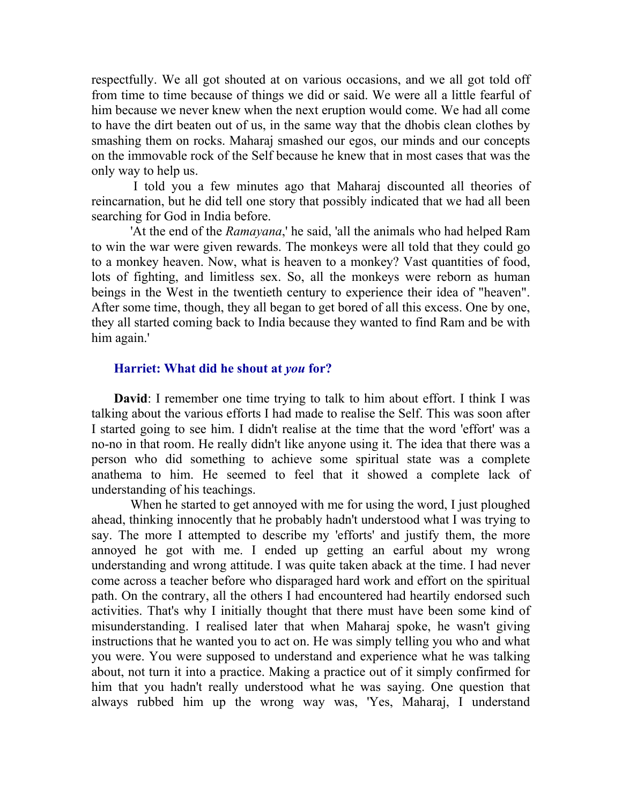respectfully. We all got shouted at on various occasions, and we all got told off from time to time because of things we did or said. We were all a little fearful of him because we never knew when the next eruption would come. We had all come to have the dirt beaten out of us, in the same way that the dhobis clean clothes by smashing them on rocks. Maharaj smashed our egos, our minds and our concepts on the immovable rock of the Self because he knew that in most cases that was the only way to help us.

 I told you a few minutes ago that Maharaj discounted all theories of reincarnation, but he did tell one story that possibly indicated that we had all been searching for God in India before.

 'At the end of the Ramayana,' he said, 'all the animals who had helped Ram to win the war were given rewards. The monkeys were all told that they could go to a monkey heaven. Now, what is heaven to a monkey? Vast quantities of food, lots of fighting, and limitless sex. So, all the monkeys were reborn as human beings in the West in the twentieth century to experience their idea of "heaven". After some time, though, they all began to get bored of all this excess. One by one, they all started coming back to India because they wanted to find Ram and be with him again.'

#### Harriet: What did he shout at you for?

David: I remember one time trying to talk to him about effort. I think I was talking about the various efforts I had made to realise the Self. This was soon after I started going to see him. I didn't realise at the time that the word 'effort' was a no-no in that room. He really didn't like anyone using it. The idea that there was a person who did something to achieve some spiritual state was a complete anathema to him. He seemed to feel that it showed a complete lack of understanding of his teachings.

 When he started to get annoyed with me for using the word, I just ploughed ahead, thinking innocently that he probably hadn't understood what I was trying to say. The more I attempted to describe my 'efforts' and justify them, the more annoyed he got with me. I ended up getting an earful about my wrong understanding and wrong attitude. I was quite taken aback at the time. I had never come across a teacher before who disparaged hard work and effort on the spiritual path. On the contrary, all the others I had encountered had heartily endorsed such activities. That's why I initially thought that there must have been some kind of misunderstanding. I realised later that when Maharaj spoke, he wasn't giving instructions that he wanted you to act on. He was simply telling you who and what you were. You were supposed to understand and experience what he was talking about, not turn it into a practice. Making a practice out of it simply confirmed for him that you hadn't really understood what he was saying. One question that always rubbed him up the wrong way was, 'Yes, Maharaj, I understand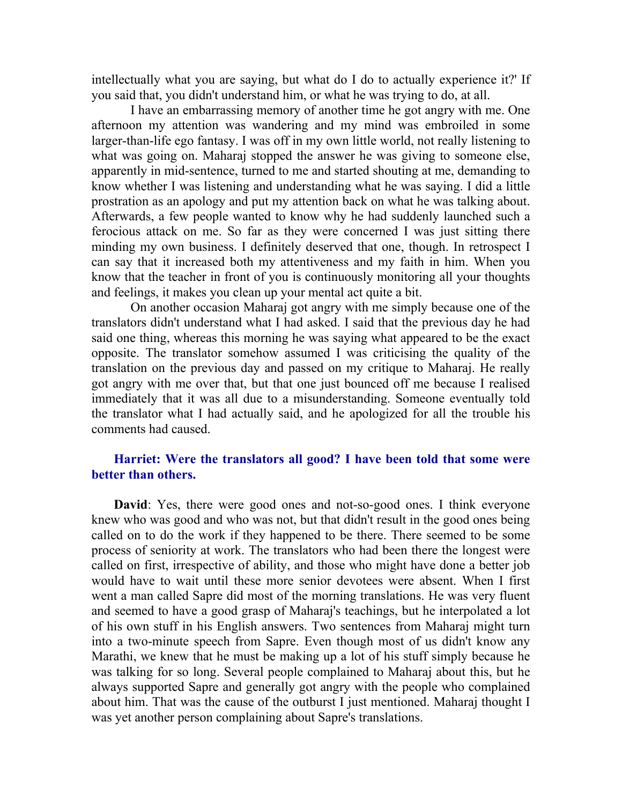intellectually what you are saying, but what do I do to actually experience it?' If you said that, you didn't understand him, or what he was trying to do, at all.

 I have an embarrassing memory of another time he got angry with me. One afternoon my attention was wandering and my mind was embroiled in some larger-than-life ego fantasy. I was off in my own little world, not really listening to what was going on. Maharaj stopped the answer he was giving to someone else, apparently in mid-sentence, turned to me and started shouting at me, demanding to know whether I was listening and understanding what he was saying. I did a little prostration as an apology and put my attention back on what he was talking about. Afterwards, a few people wanted to know why he had suddenly launched such a ferocious attack on me. So far as they were concerned I was just sitting there minding my own business. I definitely deserved that one, though. In retrospect I can say that it increased both my attentiveness and my faith in him. When you know that the teacher in front of you is continuously monitoring all your thoughts and feelings, it makes you clean up your mental act quite a bit.

 On another occasion Maharaj got angry with me simply because one of the translators didn't understand what I had asked. I said that the previous day he had said one thing, whereas this morning he was saying what appeared to be the exact opposite. The translator somehow assumed I was criticising the quality of the translation on the previous day and passed on my critique to Maharaj. He really got angry with me over that, but that one just bounced off me because I realised immediately that it was all due to a misunderstanding. Someone eventually told the translator what I had actually said, and he apologized for all the trouble his comments had caused.

## Harriet: Were the translators all good? I have been told that some were better than others.

David: Yes, there were good ones and not-so-good ones. I think everyone knew who was good and who was not, but that didn't result in the good ones being called on to do the work if they happened to be there. There seemed to be some process of seniority at work. The translators who had been there the longest were called on first, irrespective of ability, and those who might have done a better job would have to wait until these more senior devotees were absent. When I first went a man called Sapre did most of the morning translations. He was very fluent and seemed to have a good grasp of Maharaj's teachings, but he interpolated a lot of his own stuff in his English answers. Two sentences from Maharaj might turn into a two-minute speech from Sapre. Even though most of us didn't know any Marathi, we knew that he must be making up a lot of his stuff simply because he was talking for so long. Several people complained to Maharaj about this, but he always supported Sapre and generally got angry with the people who complained about him. That was the cause of the outburst I just mentioned. Maharaj thought I was yet another person complaining about Sapre's translations.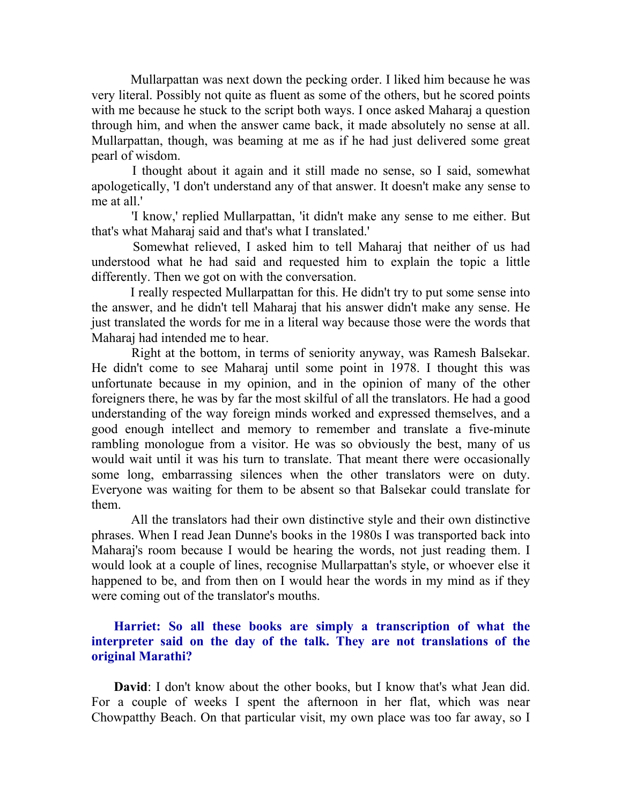Mullarpattan was next down the pecking order. I liked him because he was very literal. Possibly not quite as fluent as some of the others, but he scored points with me because he stuck to the script both ways. I once asked Maharaj a question through him, and when the answer came back, it made absolutely no sense at all. Mullarpattan, though, was beaming at me as if he had just delivered some great pearl of wisdom.

 I thought about it again and it still made no sense, so I said, somewhat apologetically, 'I don't understand any of that answer. It doesn't make any sense to me at all.'

 'I know,' replied Mullarpattan, 'it didn't make any sense to me either. But that's what Maharaj said and that's what I translated.'

 Somewhat relieved, I asked him to tell Maharaj that neither of us had understood what he had said and requested him to explain the topic a little differently. Then we got on with the conversation.

 I really respected Mullarpattan for this. He didn't try to put some sense into the answer, and he didn't tell Maharaj that his answer didn't make any sense. He just translated the words for me in a literal way because those were the words that Maharaj had intended me to hear.

 Right at the bottom, in terms of seniority anyway, was Ramesh Balsekar. He didn't come to see Maharaj until some point in 1978. I thought this was unfortunate because in my opinion, and in the opinion of many of the other foreigners there, he was by far the most skilful of all the translators. He had a good understanding of the way foreign minds worked and expressed themselves, and a good enough intellect and memory to remember and translate a five-minute rambling monologue from a visitor. He was so obviously the best, many of us would wait until it was his turn to translate. That meant there were occasionally some long, embarrassing silences when the other translators were on duty. Everyone was waiting for them to be absent so that Balsekar could translate for them.

 All the translators had their own distinctive style and their own distinctive phrases. When I read Jean Dunne's books in the 1980s I was transported back into Maharaj's room because I would be hearing the words, not just reading them. I would look at a couple of lines, recognise Mullarpattan's style, or whoever else it happened to be, and from then on I would hear the words in my mind as if they were coming out of the translator's mouths.

## Harriet: So all these books are simply a transcription of what the interpreter said on the day of the talk. They are not translations of the original Marathi?

David: I don't know about the other books, but I know that's what Jean did. For a couple of weeks I spent the afternoon in her flat, which was near Chowpatthy Beach. On that particular visit, my own place was too far away, so I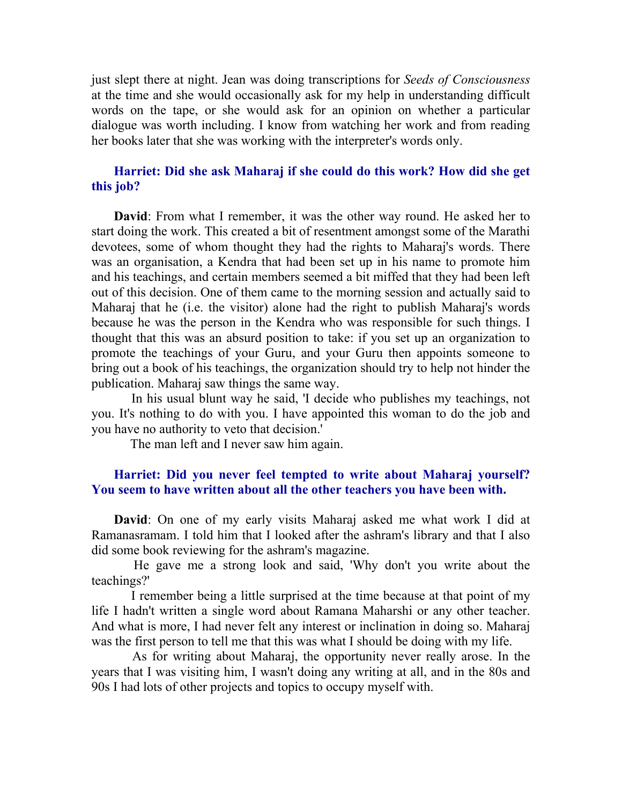just slept there at night. Jean was doing transcriptions for Seeds of Consciousness at the time and she would occasionally ask for my help in understanding difficult words on the tape, or she would ask for an opinion on whether a particular dialogue was worth including. I know from watching her work and from reading her books later that she was working with the interpreter's words only.

#### Harriet: Did she ask Maharaj if she could do this work? How did she get this job?

David: From what I remember, it was the other way round. He asked her to start doing the work. This created a bit of resentment amongst some of the Marathi devotees, some of whom thought they had the rights to Maharaj's words. There was an organisation, a Kendra that had been set up in his name to promote him and his teachings, and certain members seemed a bit miffed that they had been left out of this decision. One of them came to the morning session and actually said to Maharaj that he (i.e. the visitor) alone had the right to publish Maharaj's words because he was the person in the Kendra who was responsible for such things. I thought that this was an absurd position to take: if you set up an organization to promote the teachings of your Guru, and your Guru then appoints someone to bring out a book of his teachings, the organization should try to help not hinder the publication. Maharaj saw things the same way.

 In his usual blunt way he said, 'I decide who publishes my teachings, not you. It's nothing to do with you. I have appointed this woman to do the job and you have no authority to veto that decision.'

The man left and I never saw him again.

#### Harriet: Did you never feel tempted to write about Maharaj yourself? You seem to have written about all the other teachers you have been with.

David: On one of my early visits Maharaj asked me what work I did at Ramanasramam. I told him that I looked after the ashram's library and that I also did some book reviewing for the ashram's magazine.

 He gave me a strong look and said, 'Why don't you write about the teachings?'

 I remember being a little surprised at the time because at that point of my life I hadn't written a single word about Ramana Maharshi or any other teacher. And what is more, I had never felt any interest or inclination in doing so. Maharaj was the first person to tell me that this was what I should be doing with my life.

 As for writing about Maharaj, the opportunity never really arose. In the years that I was visiting him, I wasn't doing any writing at all, and in the 80s and 90s I had lots of other projects and topics to occupy myself with.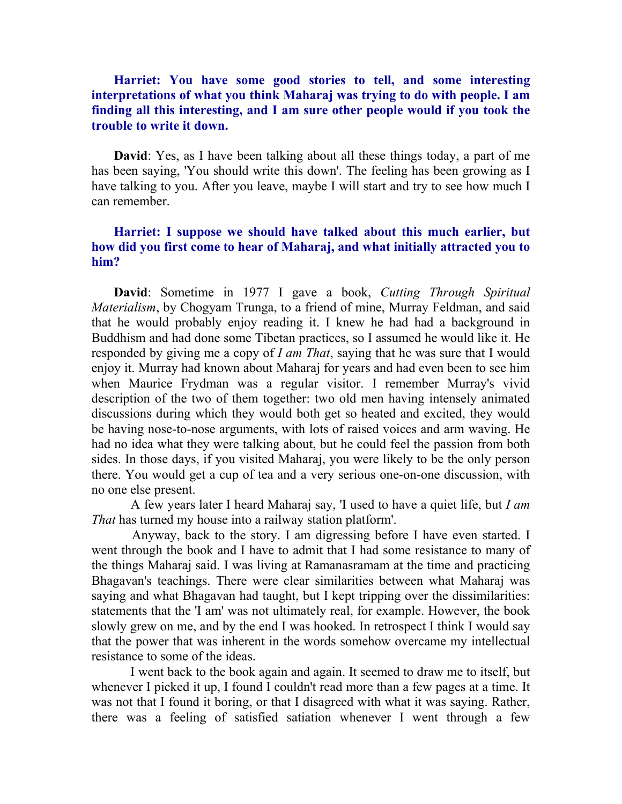## Harriet: You have some good stories to tell, and some interesting interpretations of what you think Maharaj was trying to do with people. I am finding all this interesting, and I am sure other people would if you took the trouble to write it down.

David: Yes, as I have been talking about all these things today, a part of me has been saying, 'You should write this down'. The feeling has been growing as I have talking to you. After you leave, maybe I will start and try to see how much I can remember.

## Harriet: I suppose we should have talked about this much earlier, but how did you first come to hear of Maharaj, and what initially attracted you to him?

David: Sometime in 1977 I gave a book, Cutting Through Spiritual Materialism, by Chogyam Trunga, to a friend of mine, Murray Feldman, and said that he would probably enjoy reading it. I knew he had had a background in Buddhism and had done some Tibetan practices, so I assumed he would like it. He responded by giving me a copy of I am That, saying that he was sure that I would enjoy it. Murray had known about Maharaj for years and had even been to see him when Maurice Frydman was a regular visitor. I remember Murray's vivid description of the two of them together: two old men having intensely animated discussions during which they would both get so heated and excited, they would be having nose-to-nose arguments, with lots of raised voices and arm waving. He had no idea what they were talking about, but he could feel the passion from both sides. In those days, if you visited Maharaj, you were likely to be the only person there. You would get a cup of tea and a very serious one-on-one discussion, with no one else present.

 A few years later I heard Maharaj say, 'I used to have a quiet life, but I am That has turned my house into a railway station platform'.

 Anyway, back to the story. I am digressing before I have even started. I went through the book and I have to admit that I had some resistance to many of the things Maharaj said. I was living at Ramanasramam at the time and practicing Bhagavan's teachings. There were clear similarities between what Maharaj was saying and what Bhagavan had taught, but I kept tripping over the dissimilarities: statements that the 'I am' was not ultimately real, for example. However, the book slowly grew on me, and by the end I was hooked. In retrospect I think I would say that the power that was inherent in the words somehow overcame my intellectual resistance to some of the ideas.

 I went back to the book again and again. It seemed to draw me to itself, but whenever I picked it up, I found I couldn't read more than a few pages at a time. It was not that I found it boring, or that I disagreed with what it was saying. Rather, there was a feeling of satisfied satiation whenever I went through a few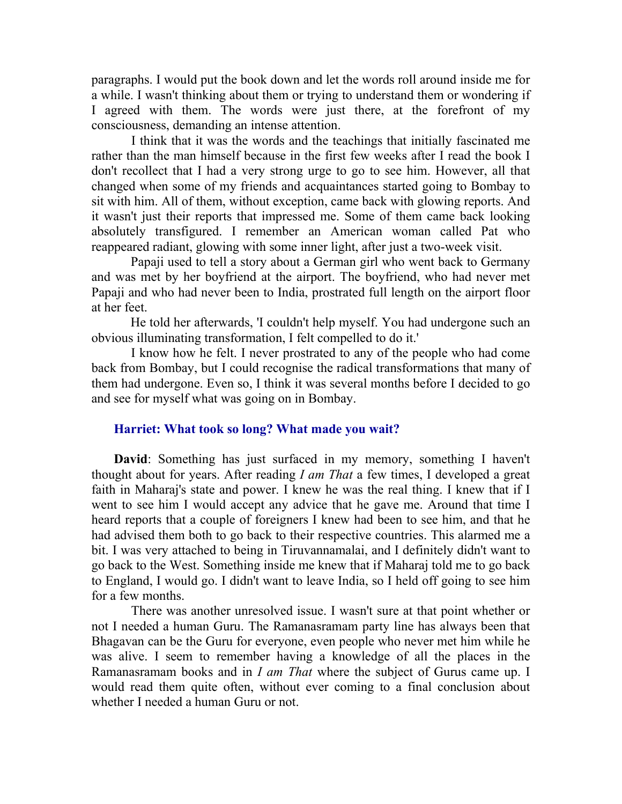paragraphs. I would put the book down and let the words roll around inside me for a while. I wasn't thinking about them or trying to understand them or wondering if I agreed with them. The words were just there, at the forefront of my consciousness, demanding an intense attention.

 I think that it was the words and the teachings that initially fascinated me rather than the man himself because in the first few weeks after I read the book I don't recollect that I had a very strong urge to go to see him. However, all that changed when some of my friends and acquaintances started going to Bombay to sit with him. All of them, without exception, came back with glowing reports. And it wasn't just their reports that impressed me. Some of them came back looking absolutely transfigured. I remember an American woman called Pat who reappeared radiant, glowing with some inner light, after just a two-week visit.

 Papaji used to tell a story about a German girl who went back to Germany and was met by her boyfriend at the airport. The boyfriend, who had never met Papaji and who had never been to India, prostrated full length on the airport floor at her feet.

 He told her afterwards, 'I couldn't help myself. You had undergone such an obvious illuminating transformation, I felt compelled to do it.'

 I know how he felt. I never prostrated to any of the people who had come back from Bombay, but I could recognise the radical transformations that many of them had undergone. Even so, I think it was several months before I decided to go and see for myself what was going on in Bombay.

# Harriet: What took so long? What made you wait?

David: Something has just surfaced in my memory, something I haven't thought about for years. After reading I am That a few times, I developed a great faith in Maharaj's state and power. I knew he was the real thing. I knew that if I went to see him I would accept any advice that he gave me. Around that time I heard reports that a couple of foreigners I knew had been to see him, and that he had advised them both to go back to their respective countries. This alarmed me a bit. I was very attached to being in Tiruvannamalai, and I definitely didn't want to go back to the West. Something inside me knew that if Maharaj told me to go back to England, I would go. I didn't want to leave India, so I held off going to see him for a few months.

 There was another unresolved issue. I wasn't sure at that point whether or not I needed a human Guru. The Ramanasramam party line has always been that Bhagavan can be the Guru for everyone, even people who never met him while he was alive. I seem to remember having a knowledge of all the places in the Ramanasramam books and in *I am That* where the subject of Gurus came up. I would read them quite often, without ever coming to a final conclusion about whether I needed a human Guru or not.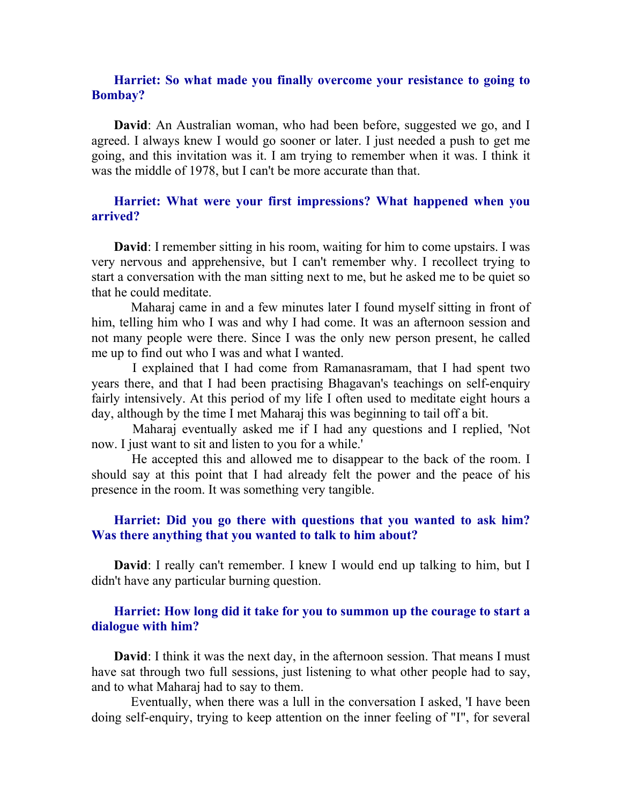## Harriet: So what made you finally overcome your resistance to going to Bombay?

David: An Australian woman, who had been before, suggested we go, and I agreed. I always knew I would go sooner or later. I just needed a push to get me going, and this invitation was it. I am trying to remember when it was. I think it was the middle of 1978, but I can't be more accurate than that.

## Harriet: What were your first impressions? What happened when you arrived?

David: I remember sitting in his room, waiting for him to come upstairs. I was very nervous and apprehensive, but I can't remember why. I recollect trying to start a conversation with the man sitting next to me, but he asked me to be quiet so that he could meditate.

 Maharaj came in and a few minutes later I found myself sitting in front of him, telling him who I was and why I had come. It was an afternoon session and not many people were there. Since I was the only new person present, he called me up to find out who I was and what I wanted.

 I explained that I had come from Ramanasramam, that I had spent two years there, and that I had been practising Bhagavan's teachings on self-enquiry fairly intensively. At this period of my life I often used to meditate eight hours a day, although by the time I met Maharaj this was beginning to tail off a bit.

 Maharaj eventually asked me if I had any questions and I replied, 'Not now. I just want to sit and listen to you for a while.'

 He accepted this and allowed me to disappear to the back of the room. I should say at this point that I had already felt the power and the peace of his presence in the room. It was something very tangible.

#### Harriet: Did you go there with questions that you wanted to ask him? Was there anything that you wanted to talk to him about?

David: I really can't remember. I knew I would end up talking to him, but I didn't have any particular burning question.

## Harriet: How long did it take for you to summon up the courage to start a dialogue with him?

David: I think it was the next day, in the afternoon session. That means I must have sat through two full sessions, just listening to what other people had to say, and to what Maharaj had to say to them.

 Eventually, when there was a lull in the conversation I asked, 'I have been doing self-enquiry, trying to keep attention on the inner feeling of "I", for several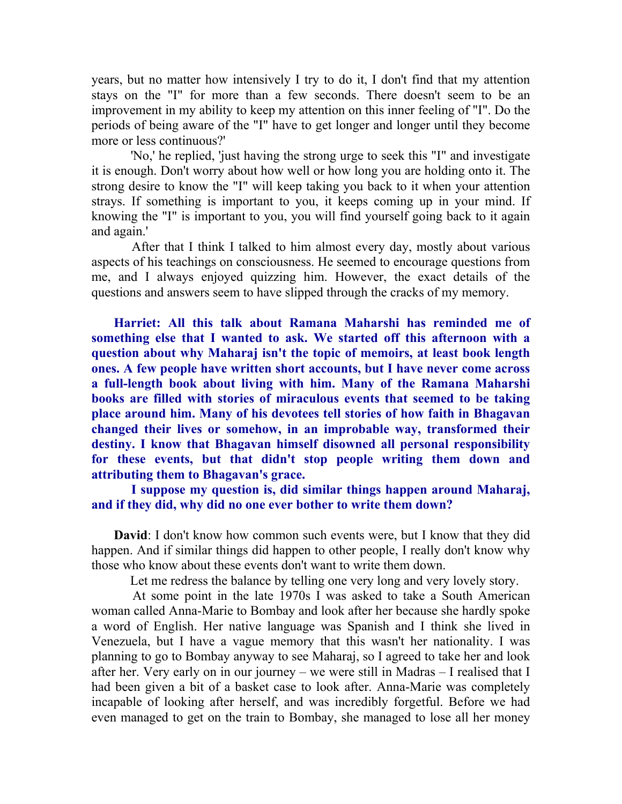years, but no matter how intensively I try to do it, I don't find that my attention stays on the "I" for more than a few seconds. There doesn't seem to be an improvement in my ability to keep my attention on this inner feeling of "I". Do the periods of being aware of the "I" have to get longer and longer until they become more or less continuous?'

 'No,' he replied, 'just having the strong urge to seek this "I" and investigate it is enough. Don't worry about how well or how long you are holding onto it. The strong desire to know the "I" will keep taking you back to it when your attention strays. If something is important to you, it keeps coming up in your mind. If knowing the "I" is important to you, you will find yourself going back to it again and again.'

 After that I think I talked to him almost every day, mostly about various aspects of his teachings on consciousness. He seemed to encourage questions from me, and I always enjoyed quizzing him. However, the exact details of the questions and answers seem to have slipped through the cracks of my memory.

Harriet: All this talk about Ramana Maharshi has reminded me of something else that I wanted to ask. We started off this afternoon with a question about why Maharaj isn't the topic of memoirs, at least book length ones. A few people have written short accounts, but I have never come across a full-length book about living with him. Many of the Ramana Maharshi books are filled with stories of miraculous events that seemed to be taking place around him. Many of his devotees tell stories of how faith in Bhagavan changed their lives or somehow, in an improbable way, transformed their destiny. I know that Bhagavan himself disowned all personal responsibility for these events, but that didn't stop people writing them down and attributing them to Bhagavan's grace.

 I suppose my question is, did similar things happen around Maharaj, and if they did, why did no one ever bother to write them down?

David: I don't know how common such events were, but I know that they did happen. And if similar things did happen to other people, I really don't know why those who know about these events don't want to write them down.

Let me redress the balance by telling one very long and very lovely story.

 At some point in the late 1970s I was asked to take a South American woman called Anna-Marie to Bombay and look after her because she hardly spoke a word of English. Her native language was Spanish and I think she lived in Venezuela, but I have a vague memory that this wasn't her nationality. I was planning to go to Bombay anyway to see Maharaj, so I agreed to take her and look after her. Very early on in our journey – we were still in Madras – I realised that I had been given a bit of a basket case to look after. Anna-Marie was completely incapable of looking after herself, and was incredibly forgetful. Before we had even managed to get on the train to Bombay, she managed to lose all her money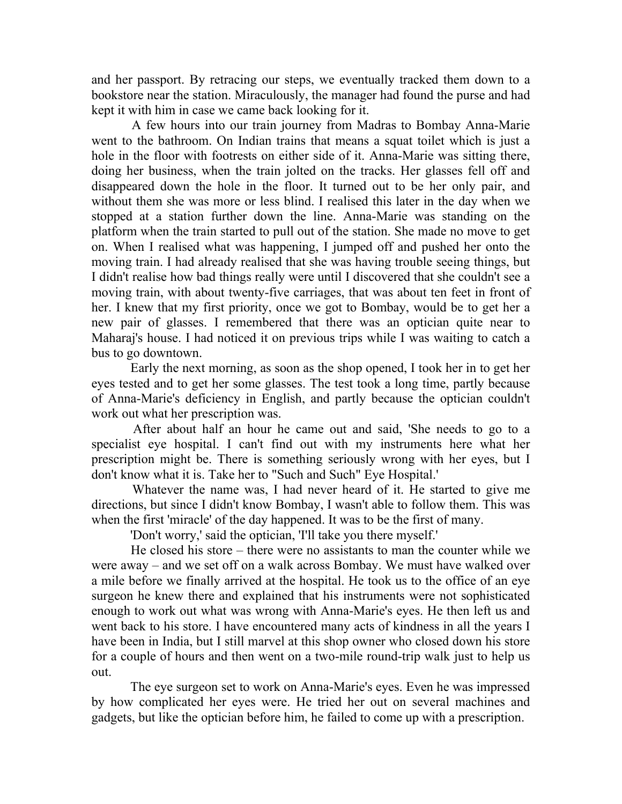and her passport. By retracing our steps, we eventually tracked them down to a bookstore near the station. Miraculously, the manager had found the purse and had kept it with him in case we came back looking for it.

 A few hours into our train journey from Madras to Bombay Anna-Marie went to the bathroom. On Indian trains that means a squat toilet which is just a hole in the floor with footrests on either side of it. Anna-Marie was sitting there, doing her business, when the train jolted on the tracks. Her glasses fell off and disappeared down the hole in the floor. It turned out to be her only pair, and without them she was more or less blind. I realised this later in the day when we stopped at a station further down the line. Anna-Marie was standing on the platform when the train started to pull out of the station. She made no move to get on. When I realised what was happening, I jumped off and pushed her onto the moving train. I had already realised that she was having trouble seeing things, but I didn't realise how bad things really were until I discovered that she couldn't see a moving train, with about twenty-five carriages, that was about ten feet in front of her. I knew that my first priority, once we got to Bombay, would be to get her a new pair of glasses. I remembered that there was an optician quite near to Maharaj's house. I had noticed it on previous trips while I was waiting to catch a bus to go downtown.

 Early the next morning, as soon as the shop opened, I took her in to get her eyes tested and to get her some glasses. The test took a long time, partly because of Anna-Marie's deficiency in English, and partly because the optician couldn't work out what her prescription was.

 After about half an hour he came out and said, 'She needs to go to a specialist eye hospital. I can't find out with my instruments here what her prescription might be. There is something seriously wrong with her eyes, but I don't know what it is. Take her to "Such and Such" Eye Hospital.'

 Whatever the name was, I had never heard of it. He started to give me directions, but since I didn't know Bombay, I wasn't able to follow them. This was when the first 'miracle' of the day happened. It was to be the first of many.

'Don't worry,' said the optician, 'I'll take you there myself.'

 He closed his store – there were no assistants to man the counter while we were away – and we set off on a walk across Bombay. We must have walked over a mile before we finally arrived at the hospital. He took us to the office of an eye surgeon he knew there and explained that his instruments were not sophisticated enough to work out what was wrong with Anna-Marie's eyes. He then left us and went back to his store. I have encountered many acts of kindness in all the years I have been in India, but I still marvel at this shop owner who closed down his store for a couple of hours and then went on a two-mile round-trip walk just to help us out.

 The eye surgeon set to work on Anna-Marie's eyes. Even he was impressed by how complicated her eyes were. He tried her out on several machines and gadgets, but like the optician before him, he failed to come up with a prescription.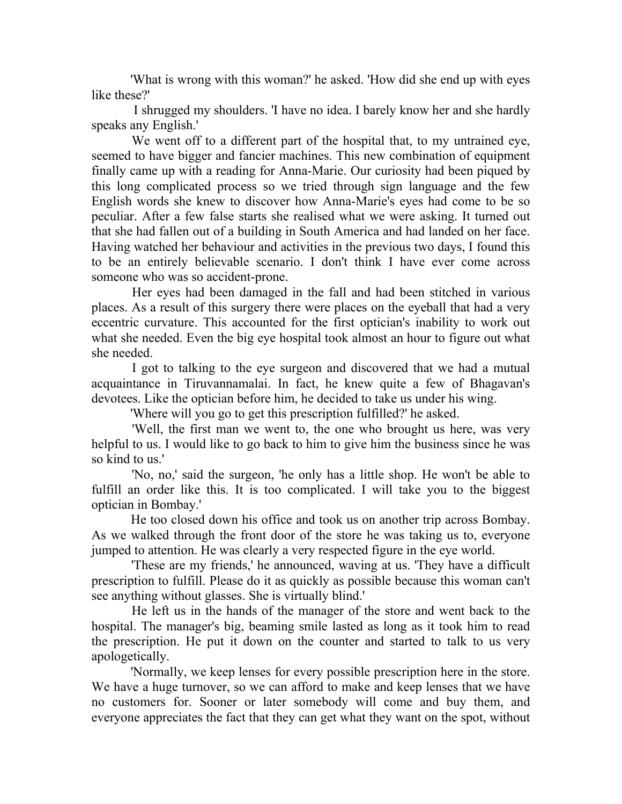'What is wrong with this woman?' he asked. 'How did she end up with eyes like these?'

 I shrugged my shoulders. 'I have no idea. I barely know her and she hardly speaks any English.'

 We went off to a different part of the hospital that, to my untrained eye, seemed to have bigger and fancier machines. This new combination of equipment finally came up with a reading for Anna-Marie. Our curiosity had been piqued by this long complicated process so we tried through sign language and the few English words she knew to discover how Anna-Marie's eyes had come to be so peculiar. After a few false starts she realised what we were asking. It turned out that she had fallen out of a building in South America and had landed on her face. Having watched her behaviour and activities in the previous two days, I found this to be an entirely believable scenario. I don't think I have ever come across someone who was so accident-prone.

 Her eyes had been damaged in the fall and had been stitched in various places. As a result of this surgery there were places on the eyeball that had a very eccentric curvature. This accounted for the first optician's inability to work out what she needed. Even the big eye hospital took almost an hour to figure out what she needed.

 I got to talking to the eye surgeon and discovered that we had a mutual acquaintance in Tiruvannamalai. In fact, he knew quite a few of Bhagavan's devotees. Like the optician before him, he decided to take us under his wing.

'Where will you go to get this prescription fulfilled?' he asked.

 'Well, the first man we went to, the one who brought us here, was very helpful to us. I would like to go back to him to give him the business since he was so kind to us.'

 'No, no,' said the surgeon, 'he only has a little shop. He won't be able to fulfill an order like this. It is too complicated. I will take you to the biggest optician in Bombay.'

 He too closed down his office and took us on another trip across Bombay. As we walked through the front door of the store he was taking us to, everyone jumped to attention. He was clearly a very respected figure in the eye world.

 'These are my friends,' he announced, waving at us. 'They have a difficult prescription to fulfill. Please do it as quickly as possible because this woman can't see anything without glasses. She is virtually blind.'

 He left us in the hands of the manager of the store and went back to the hospital. The manager's big, beaming smile lasted as long as it took him to read the prescription. He put it down on the counter and started to talk to us very apologetically.

 'Normally, we keep lenses for every possible prescription here in the store. We have a huge turnover, so we can afford to make and keep lenses that we have no customers for. Sooner or later somebody will come and buy them, and everyone appreciates the fact that they can get what they want on the spot, without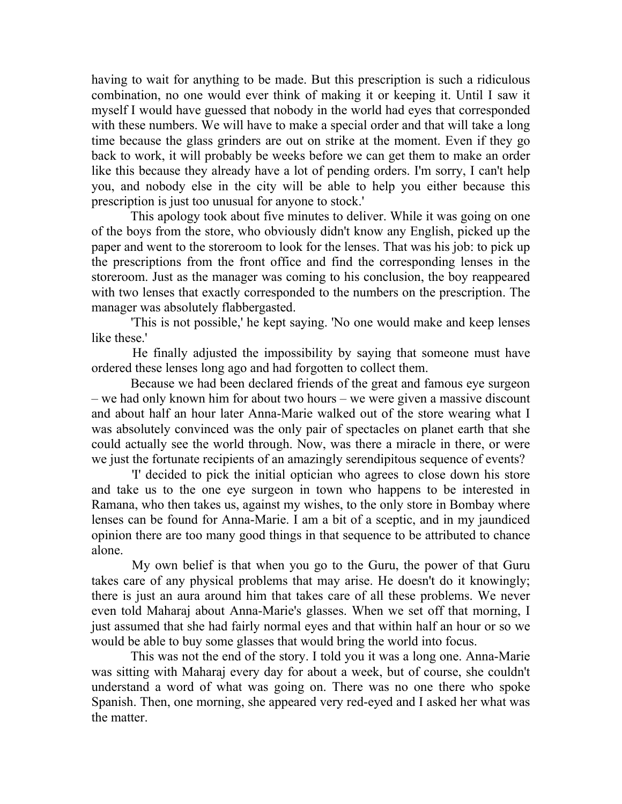having to wait for anything to be made. But this prescription is such a ridiculous combination, no one would ever think of making it or keeping it. Until I saw it myself I would have guessed that nobody in the world had eyes that corresponded with these numbers. We will have to make a special order and that will take a long time because the glass grinders are out on strike at the moment. Even if they go back to work, it will probably be weeks before we can get them to make an order like this because they already have a lot of pending orders. I'm sorry, I can't help you, and nobody else in the city will be able to help you either because this prescription is just too unusual for anyone to stock.'

 This apology took about five minutes to deliver. While it was going on one of the boys from the store, who obviously didn't know any English, picked up the paper and went to the storeroom to look for the lenses. That was his job: to pick up the prescriptions from the front office and find the corresponding lenses in the storeroom. Just as the manager was coming to his conclusion, the boy reappeared with two lenses that exactly corresponded to the numbers on the prescription. The manager was absolutely flabbergasted.

 'This is not possible,' he kept saying. 'No one would make and keep lenses like these.'

 He finally adjusted the impossibility by saying that someone must have ordered these lenses long ago and had forgotten to collect them.

 Because we had been declared friends of the great and famous eye surgeon – we had only known him for about two hours – we were given a massive discount and about half an hour later Anna-Marie walked out of the store wearing what I was absolutely convinced was the only pair of spectacles on planet earth that she could actually see the world through. Now, was there a miracle in there, or were we just the fortunate recipients of an amazingly serendipitous sequence of events?

 'I' decided to pick the initial optician who agrees to close down his store and take us to the one eye surgeon in town who happens to be interested in Ramana, who then takes us, against my wishes, to the only store in Bombay where lenses can be found for Anna-Marie. I am a bit of a sceptic, and in my jaundiced opinion there are too many good things in that sequence to be attributed to chance alone.

 My own belief is that when you go to the Guru, the power of that Guru takes care of any physical problems that may arise. He doesn't do it knowingly; there is just an aura around him that takes care of all these problems. We never even told Maharaj about Anna-Marie's glasses. When we set off that morning, I just assumed that she had fairly normal eyes and that within half an hour or so we would be able to buy some glasses that would bring the world into focus.

 This was not the end of the story. I told you it was a long one. Anna-Marie was sitting with Maharaj every day for about a week, but of course, she couldn't understand a word of what was going on. There was no one there who spoke Spanish. Then, one morning, she appeared very red-eyed and I asked her what was the matter.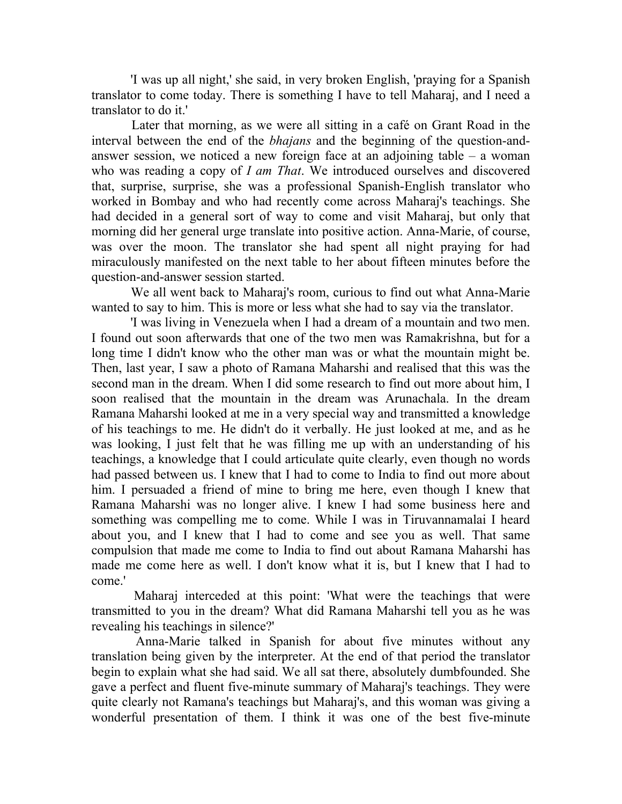'I was up all night,' she said, in very broken English, 'praying for a Spanish translator to come today. There is something I have to tell Maharaj, and I need a translator to do it.'

 Later that morning, as we were all sitting in a café on Grant Road in the interval between the end of the bhajans and the beginning of the question-andanswer session, we noticed a new foreign face at an adjoining table  $-$  a woman who was reading a copy of *I am That*. We introduced ourselves and discovered that, surprise, surprise, she was a professional Spanish-English translator who worked in Bombay and who had recently come across Maharaj's teachings. She had decided in a general sort of way to come and visit Maharaj, but only that morning did her general urge translate into positive action. Anna-Marie, of course, was over the moon. The translator she had spent all night praying for had miraculously manifested on the next table to her about fifteen minutes before the question-and-answer session started.

 We all went back to Maharaj's room, curious to find out what Anna-Marie wanted to say to him. This is more or less what she had to say via the translator.

 'I was living in Venezuela when I had a dream of a mountain and two men. I found out soon afterwards that one of the two men was Ramakrishna, but for a long time I didn't know who the other man was or what the mountain might be. Then, last year, I saw a photo of Ramana Maharshi and realised that this was the second man in the dream. When I did some research to find out more about him, I soon realised that the mountain in the dream was Arunachala. In the dream Ramana Maharshi looked at me in a very special way and transmitted a knowledge of his teachings to me. He didn't do it verbally. He just looked at me, and as he was looking, I just felt that he was filling me up with an understanding of his teachings, a knowledge that I could articulate quite clearly, even though no words had passed between us. I knew that I had to come to India to find out more about him. I persuaded a friend of mine to bring me here, even though I knew that Ramana Maharshi was no longer alive. I knew I had some business here and something was compelling me to come. While I was in Tiruvannamalai I heard about you, and I knew that I had to come and see you as well. That same compulsion that made me come to India to find out about Ramana Maharshi has made me come here as well. I don't know what it is, but I knew that I had to come.'

 Maharaj interceded at this point: 'What were the teachings that were transmitted to you in the dream? What did Ramana Maharshi tell you as he was revealing his teachings in silence?'

 Anna-Marie talked in Spanish for about five minutes without any translation being given by the interpreter. At the end of that period the translator begin to explain what she had said. We all sat there, absolutely dumbfounded. She gave a perfect and fluent five-minute summary of Maharaj's teachings. They were quite clearly not Ramana's teachings but Maharaj's, and this woman was giving a wonderful presentation of them. I think it was one of the best five-minute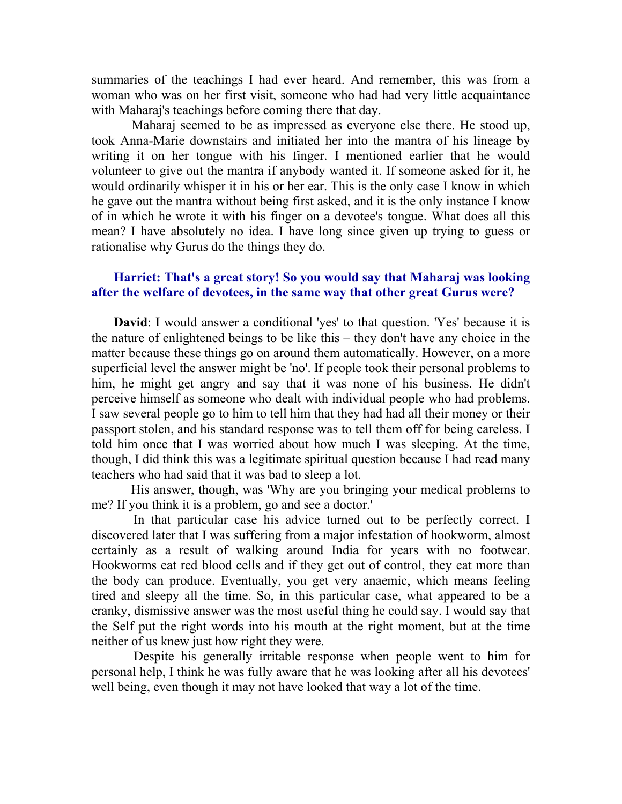summaries of the teachings I had ever heard. And remember, this was from a woman who was on her first visit, someone who had had very little acquaintance with Maharaj's teachings before coming there that day.

 Maharaj seemed to be as impressed as everyone else there. He stood up, took Anna-Marie downstairs and initiated her into the mantra of his lineage by writing it on her tongue with his finger. I mentioned earlier that he would volunteer to give out the mantra if anybody wanted it. If someone asked for it, he would ordinarily whisper it in his or her ear. This is the only case I know in which he gave out the mantra without being first asked, and it is the only instance I know of in which he wrote it with his finger on a devotee's tongue. What does all this mean? I have absolutely no idea. I have long since given up trying to guess or rationalise why Gurus do the things they do.

## Harriet: That's a great story! So you would say that Maharaj was looking after the welfare of devotees, in the same way that other great Gurus were?

David: I would answer a conditional 'yes' to that question. 'Yes' because it is the nature of enlightened beings to be like this – they don't have any choice in the matter because these things go on around them automatically. However, on a more superficial level the answer might be 'no'. If people took their personal problems to him, he might get angry and say that it was none of his business. He didn't perceive himself as someone who dealt with individual people who had problems. I saw several people go to him to tell him that they had had all their money or their passport stolen, and his standard response was to tell them off for being careless. I told him once that I was worried about how much I was sleeping. At the time, though, I did think this was a legitimate spiritual question because I had read many teachers who had said that it was bad to sleep a lot.

 His answer, though, was 'Why are you bringing your medical problems to me? If you think it is a problem, go and see a doctor.'

 In that particular case his advice turned out to be perfectly correct. I discovered later that I was suffering from a major infestation of hookworm, almost certainly as a result of walking around India for years with no footwear. Hookworms eat red blood cells and if they get out of control, they eat more than the body can produce. Eventually, you get very anaemic, which means feeling tired and sleepy all the time. So, in this particular case, what appeared to be a cranky, dismissive answer was the most useful thing he could say. I would say that the Self put the right words into his mouth at the right moment, but at the time neither of us knew just how right they were.

 Despite his generally irritable response when people went to him for personal help, I think he was fully aware that he was looking after all his devotees' well being, even though it may not have looked that way a lot of the time.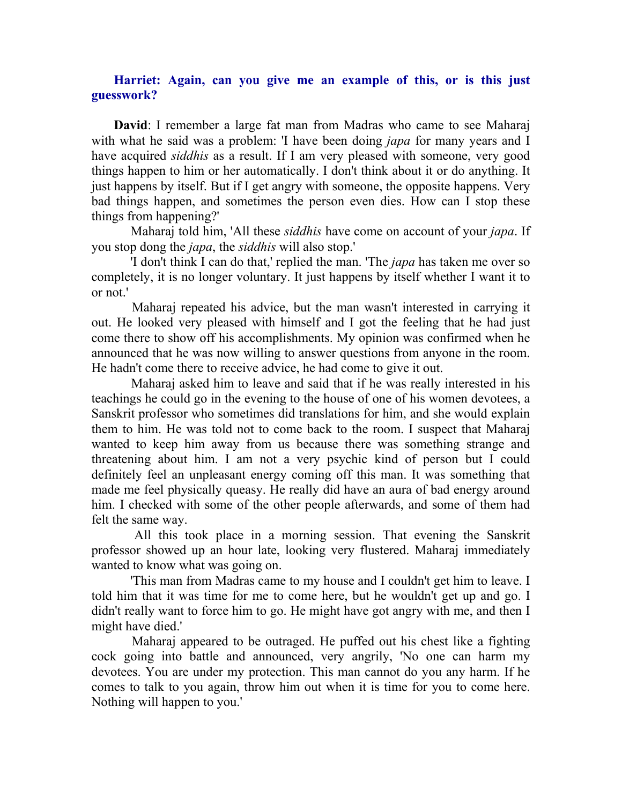## Harriet: Again, can you give me an example of this, or is this just guesswork?

David: I remember a large fat man from Madras who came to see Maharaj with what he said was a problem: 'I have been doing *japa* for many years and I have acquired *siddhis* as a result. If I am very pleased with someone, very good things happen to him or her automatically. I don't think about it or do anything. It just happens by itself. But if I get angry with someone, the opposite happens. Very bad things happen, and sometimes the person even dies. How can I stop these things from happening?'

Maharaj told him, 'All these *siddhis* have come on account of your *japa*. If you stop dong the japa, the siddhis will also stop.'

 'I don't think I can do that,' replied the man. 'The japa has taken me over so completely, it is no longer voluntary. It just happens by itself whether I want it to or not.'

 Maharaj repeated his advice, but the man wasn't interested in carrying it out. He looked very pleased with himself and I got the feeling that he had just come there to show off his accomplishments. My opinion was confirmed when he announced that he was now willing to answer questions from anyone in the room. He hadn't come there to receive advice, he had come to give it out.

 Maharaj asked him to leave and said that if he was really interested in his teachings he could go in the evening to the house of one of his women devotees, a Sanskrit professor who sometimes did translations for him, and she would explain them to him. He was told not to come back to the room. I suspect that Maharaj wanted to keep him away from us because there was something strange and threatening about him. I am not a very psychic kind of person but I could definitely feel an unpleasant energy coming off this man. It was something that made me feel physically queasy. He really did have an aura of bad energy around him. I checked with some of the other people afterwards, and some of them had felt the same way.

 All this took place in a morning session. That evening the Sanskrit professor showed up an hour late, looking very flustered. Maharaj immediately wanted to know what was going on.

 'This man from Madras came to my house and I couldn't get him to leave. I told him that it was time for me to come here, but he wouldn't get up and go. I didn't really want to force him to go. He might have got angry with me, and then I might have died.'

 Maharaj appeared to be outraged. He puffed out his chest like a fighting cock going into battle and announced, very angrily, 'No one can harm my devotees. You are under my protection. This man cannot do you any harm. If he comes to talk to you again, throw him out when it is time for you to come here. Nothing will happen to you.'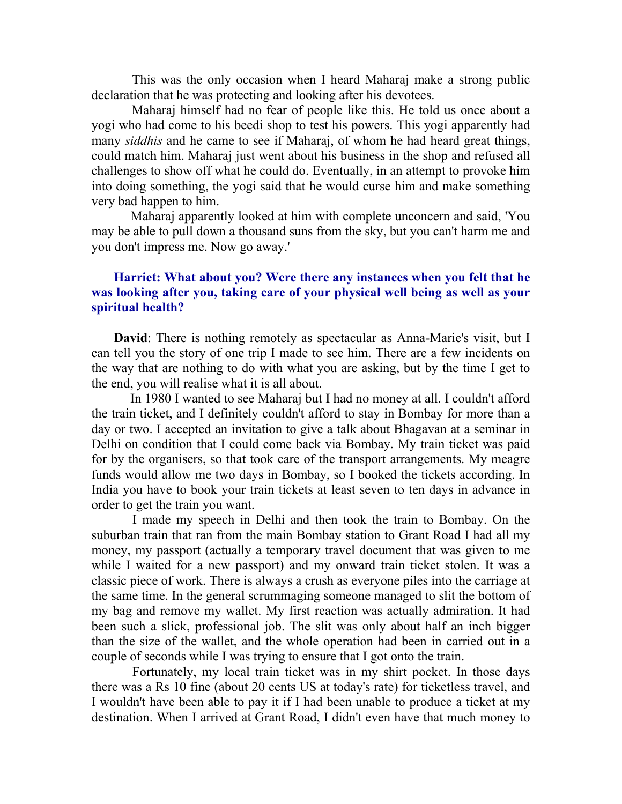This was the only occasion when I heard Maharaj make a strong public declaration that he was protecting and looking after his devotees.

 Maharaj himself had no fear of people like this. He told us once about a yogi who had come to his beedi shop to test his powers. This yogi apparently had many *siddhis* and he came to see if Maharaj, of whom he had heard great things, could match him. Maharaj just went about his business in the shop and refused all challenges to show off what he could do. Eventually, in an attempt to provoke him into doing something, the yogi said that he would curse him and make something very bad happen to him.

 Maharaj apparently looked at him with complete unconcern and said, 'You may be able to pull down a thousand suns from the sky, but you can't harm me and you don't impress me. Now go away.'

## Harriet: What about you? Were there any instances when you felt that he was looking after you, taking care of your physical well being as well as your spiritual health?

David: There is nothing remotely as spectacular as Anna-Marie's visit, but I can tell you the story of one trip I made to see him. There are a few incidents on the way that are nothing to do with what you are asking, but by the time I get to the end, you will realise what it is all about.

 In 1980 I wanted to see Maharaj but I had no money at all. I couldn't afford the train ticket, and I definitely couldn't afford to stay in Bombay for more than a day or two. I accepted an invitation to give a talk about Bhagavan at a seminar in Delhi on condition that I could come back via Bombay. My train ticket was paid for by the organisers, so that took care of the transport arrangements. My meagre funds would allow me two days in Bombay, so I booked the tickets according. In India you have to book your train tickets at least seven to ten days in advance in order to get the train you want.

 I made my speech in Delhi and then took the train to Bombay. On the suburban train that ran from the main Bombay station to Grant Road I had all my money, my passport (actually a temporary travel document that was given to me while I waited for a new passport) and my onward train ticket stolen. It was a classic piece of work. There is always a crush as everyone piles into the carriage at the same time. In the general scrummaging someone managed to slit the bottom of my bag and remove my wallet. My first reaction was actually admiration. It had been such a slick, professional job. The slit was only about half an inch bigger than the size of the wallet, and the whole operation had been in carried out in a couple of seconds while I was trying to ensure that I got onto the train.

 Fortunately, my local train ticket was in my shirt pocket. In those days there was a Rs 10 fine (about 20 cents US at today's rate) for ticketless travel, and I wouldn't have been able to pay it if I had been unable to produce a ticket at my destination. When I arrived at Grant Road, I didn't even have that much money to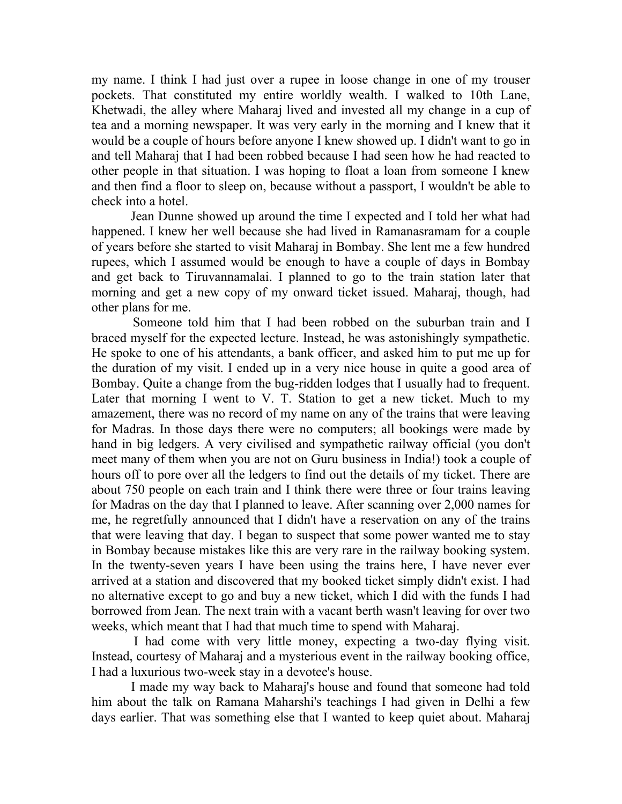my name. I think I had just over a rupee in loose change in one of my trouser pockets. That constituted my entire worldly wealth. I walked to 10th Lane, Khetwadi, the alley where Maharaj lived and invested all my change in a cup of tea and a morning newspaper. It was very early in the morning and I knew that it would be a couple of hours before anyone I knew showed up. I didn't want to go in and tell Maharaj that I had been robbed because I had seen how he had reacted to other people in that situation. I was hoping to float a loan from someone I knew and then find a floor to sleep on, because without a passport, I wouldn't be able to check into a hotel.

 Jean Dunne showed up around the time I expected and I told her what had happened. I knew her well because she had lived in Ramanasramam for a couple of years before she started to visit Maharaj in Bombay. She lent me a few hundred rupees, which I assumed would be enough to have a couple of days in Bombay and get back to Tiruvannamalai. I planned to go to the train station later that morning and get a new copy of my onward ticket issued. Maharaj, though, had other plans for me.

 Someone told him that I had been robbed on the suburban train and I braced myself for the expected lecture. Instead, he was astonishingly sympathetic. He spoke to one of his attendants, a bank officer, and asked him to put me up for the duration of my visit. I ended up in a very nice house in quite a good area of Bombay. Quite a change from the bug-ridden lodges that I usually had to frequent. Later that morning I went to V. T. Station to get a new ticket. Much to my amazement, there was no record of my name on any of the trains that were leaving for Madras. In those days there were no computers; all bookings were made by hand in big ledgers. A very civilised and sympathetic railway official (you don't meet many of them when you are not on Guru business in India!) took a couple of hours off to pore over all the ledgers to find out the details of my ticket. There are about 750 people on each train and I think there were three or four trains leaving for Madras on the day that I planned to leave. After scanning over 2,000 names for me, he regretfully announced that I didn't have a reservation on any of the trains that were leaving that day. I began to suspect that some power wanted me to stay in Bombay because mistakes like this are very rare in the railway booking system. In the twenty-seven years I have been using the trains here, I have never ever arrived at a station and discovered that my booked ticket simply didn't exist. I had no alternative except to go and buy a new ticket, which I did with the funds I had borrowed from Jean. The next train with a vacant berth wasn't leaving for over two weeks, which meant that I had that much time to spend with Maharaj.

 I had come with very little money, expecting a two-day flying visit. Instead, courtesy of Maharaj and a mysterious event in the railway booking office, I had a luxurious two-week stay in a devotee's house.

 I made my way back to Maharaj's house and found that someone had told him about the talk on Ramana Maharshi's teachings I had given in Delhi a few days earlier. That was something else that I wanted to keep quiet about. Maharaj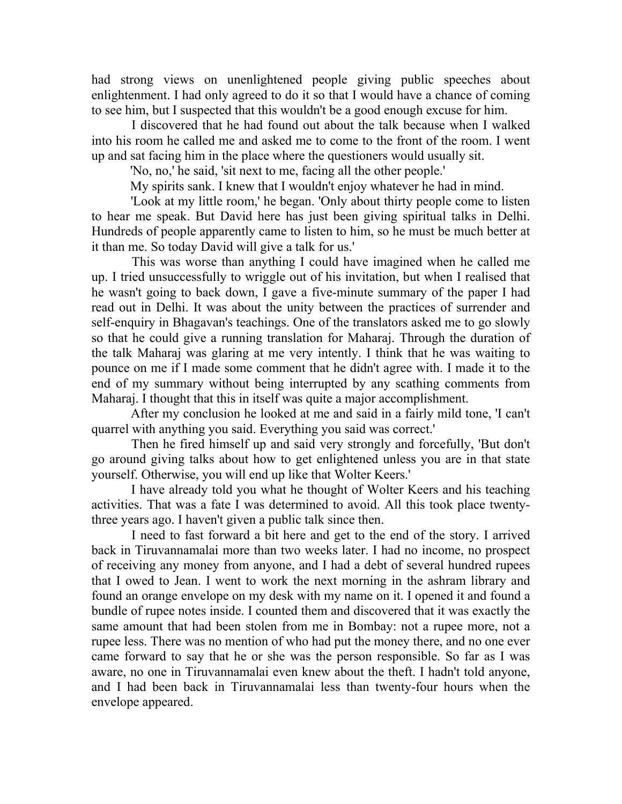had strong views on unenlightened people giving public speeches about enlightenment. I had only agreed to do it so that I would have a chance of coming to see him, but I suspected that this wouldn't be a good enough excuse for him.

 I discovered that he had found out about the talk because when I walked into his room he called me and asked me to come to the front of the room. I went up and sat facing him in the place where the questioners would usually sit.

'No, no,' he said, 'sit next to me, facing all the other people.'

My spirits sank. I knew that I wouldn't enjoy whatever he had in mind.

 'Look at my little room,' he began. 'Only about thirty people come to listen to hear me speak. But David here has just been giving spiritual talks in Delhi. Hundreds of people apparently came to listen to him, so he must be much better at it than me. So today David will give a talk for us.'

 This was worse than anything I could have imagined when he called me up. I tried unsuccessfully to wriggle out of his invitation, but when I realised that he wasn't going to back down, I gave a five-minute summary of the paper I had read out in Delhi. It was about the unity between the practices of surrender and self-enquiry in Bhagavan's teachings. One of the translators asked me to go slowly so that he could give a running translation for Maharaj. Through the duration of the talk Maharaj was glaring at me very intently. I think that he was waiting to pounce on me if I made some comment that he didn't agree with. I made it to the end of my summary without being interrupted by any scathing comments from Maharaj. I thought that this in itself was quite a major accomplishment.

 After my conclusion he looked at me and said in a fairly mild tone, 'I can't quarrel with anything you said. Everything you said was correct.'

 Then he fired himself up and said very strongly and forcefully, 'But don't go around giving talks about how to get enlightened unless you are in that state yourself. Otherwise, you will end up like that Wolter Keers.'

 I have already told you what he thought of Wolter Keers and his teaching activities. That was a fate I was determined to avoid. All this took place twentythree years ago. I haven't given a public talk since then.

 I need to fast forward a bit here and get to the end of the story. I arrived back in Tiruvannamalai more than two weeks later. I had no income, no prospect of receiving any money from anyone, and I had a debt of several hundred rupees that I owed to Jean. I went to work the next morning in the ashram library and found an orange envelope on my desk with my name on it. I opened it and found a bundle of rupee notes inside. I counted them and discovered that it was exactly the same amount that had been stolen from me in Bombay: not a rupee more, not a rupee less. There was no mention of who had put the money there, and no one ever came forward to say that he or she was the person responsible. So far as I was aware, no one in Tiruvannamalai even knew about the theft. I hadn't told anyone, and I had been back in Tiruvannamalai less than twenty-four hours when the envelope appeared.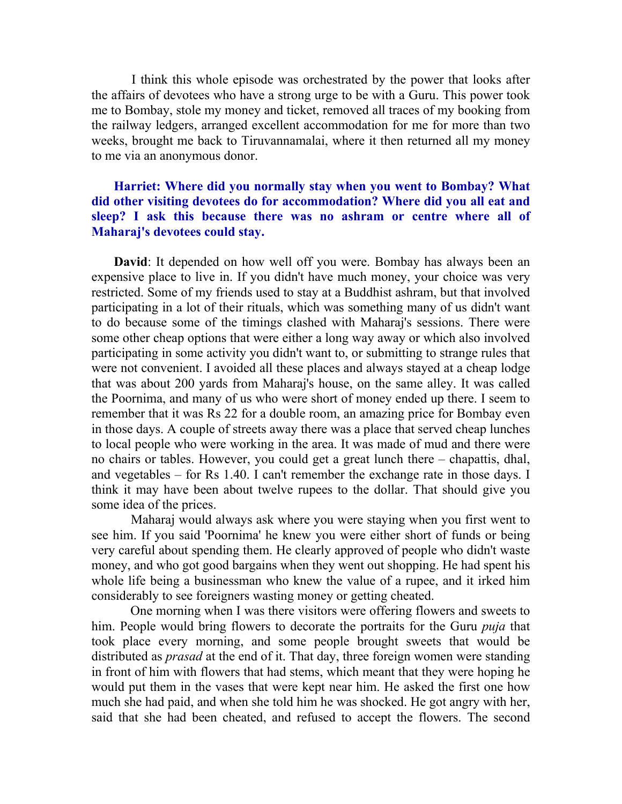I think this whole episode was orchestrated by the power that looks after the affairs of devotees who have a strong urge to be with a Guru. This power took me to Bombay, stole my money and ticket, removed all traces of my booking from the railway ledgers, arranged excellent accommodation for me for more than two weeks, brought me back to Tiruvannamalai, where it then returned all my money to me via an anonymous donor.

## Harriet: Where did you normally stay when you went to Bombay? What did other visiting devotees do for accommodation? Where did you all eat and sleep? I ask this because there was no ashram or centre where all of Maharaj's devotees could stay.

David: It depended on how well off you were. Bombay has always been an expensive place to live in. If you didn't have much money, your choice was very restricted. Some of my friends used to stay at a Buddhist ashram, but that involved participating in a lot of their rituals, which was something many of us didn't want to do because some of the timings clashed with Maharaj's sessions. There were some other cheap options that were either a long way away or which also involved participating in some activity you didn't want to, or submitting to strange rules that were not convenient. I avoided all these places and always stayed at a cheap lodge that was about 200 yards from Maharaj's house, on the same alley. It was called the Poornima, and many of us who were short of money ended up there. I seem to remember that it was Rs 22 for a double room, an amazing price for Bombay even in those days. A couple of streets away there was a place that served cheap lunches to local people who were working in the area. It was made of mud and there were no chairs or tables. However, you could get a great lunch there – chapattis, dhal, and vegetables – for Rs 1.40. I can't remember the exchange rate in those days. I think it may have been about twelve rupees to the dollar. That should give you some idea of the prices.

 Maharaj would always ask where you were staying when you first went to see him. If you said 'Poornima' he knew you were either short of funds or being very careful about spending them. He clearly approved of people who didn't waste money, and who got good bargains when they went out shopping. He had spent his whole life being a businessman who knew the value of a rupee, and it irked him considerably to see foreigners wasting money or getting cheated.

 One morning when I was there visitors were offering flowers and sweets to him. People would bring flowers to decorate the portraits for the Guru *puja* that took place every morning, and some people brought sweets that would be distributed as *prasad* at the end of it. That day, three foreign women were standing in front of him with flowers that had stems, which meant that they were hoping he would put them in the vases that were kept near him. He asked the first one how much she had paid, and when she told him he was shocked. He got angry with her, said that she had been cheated, and refused to accept the flowers. The second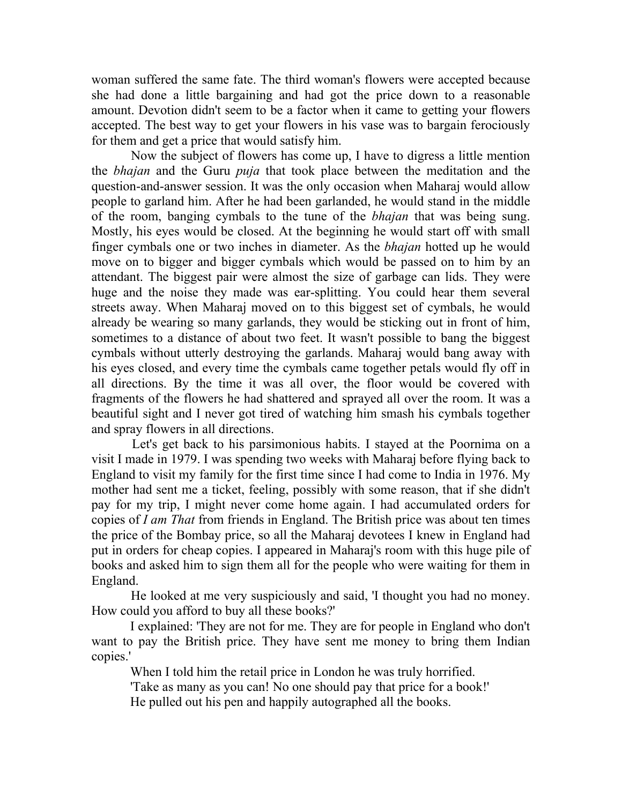woman suffered the same fate. The third woman's flowers were accepted because she had done a little bargaining and had got the price down to a reasonable amount. Devotion didn't seem to be a factor when it came to getting your flowers accepted. The best way to get your flowers in his vase was to bargain ferociously for them and get a price that would satisfy him.

 Now the subject of flowers has come up, I have to digress a little mention the bhajan and the Guru puja that took place between the meditation and the question-and-answer session. It was the only occasion when Maharaj would allow people to garland him. After he had been garlanded, he would stand in the middle of the room, banging cymbals to the tune of the bhajan that was being sung. Mostly, his eyes would be closed. At the beginning he would start off with small finger cymbals one or two inches in diameter. As the bhajan hotted up he would move on to bigger and bigger cymbals which would be passed on to him by an attendant. The biggest pair were almost the size of garbage can lids. They were huge and the noise they made was ear-splitting. You could hear them several streets away. When Maharaj moved on to this biggest set of cymbals, he would already be wearing so many garlands, they would be sticking out in front of him, sometimes to a distance of about two feet. It wasn't possible to bang the biggest cymbals without utterly destroying the garlands. Maharaj would bang away with his eyes closed, and every time the cymbals came together petals would fly off in all directions. By the time it was all over, the floor would be covered with fragments of the flowers he had shattered and sprayed all over the room. It was a beautiful sight and I never got tired of watching him smash his cymbals together and spray flowers in all directions.

 Let's get back to his parsimonious habits. I stayed at the Poornima on a visit I made in 1979. I was spending two weeks with Maharaj before flying back to England to visit my family for the first time since I had come to India in 1976. My mother had sent me a ticket, feeling, possibly with some reason, that if she didn't pay for my trip, I might never come home again. I had accumulated orders for copies of I am That from friends in England. The British price was about ten times the price of the Bombay price, so all the Maharaj devotees I knew in England had put in orders for cheap copies. I appeared in Maharaj's room with this huge pile of books and asked him to sign them all for the people who were waiting for them in England.

 He looked at me very suspiciously and said, 'I thought you had no money. How could you afford to buy all these books?'

 I explained: 'They are not for me. They are for people in England who don't want to pay the British price. They have sent me money to bring them Indian copies.'

When I told him the retail price in London he was truly horrified.

'Take as many as you can! No one should pay that price for a book!'

He pulled out his pen and happily autographed all the books.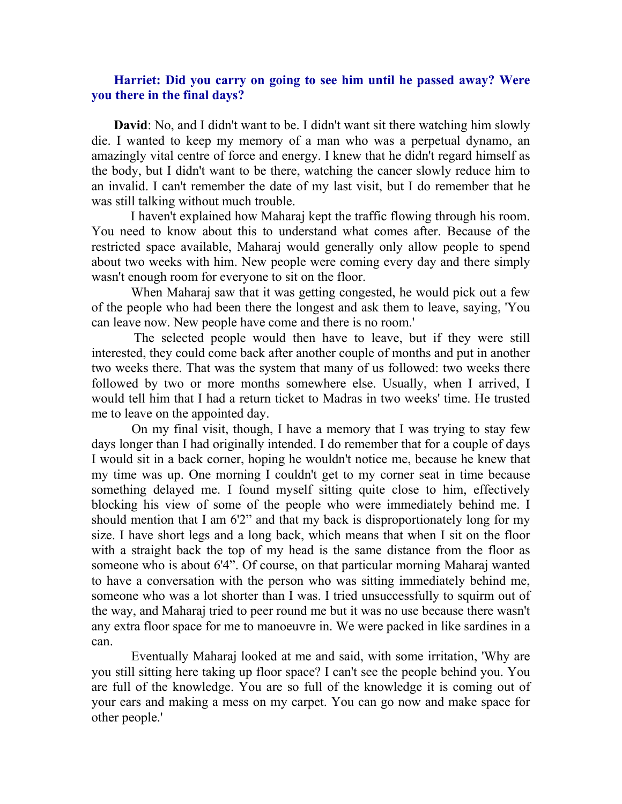## Harriet: Did you carry on going to see him until he passed away? Were you there in the final days?

David: No, and I didn't want to be. I didn't want sit there watching him slowly die. I wanted to keep my memory of a man who was a perpetual dynamo, an amazingly vital centre of force and energy. I knew that he didn't regard himself as the body, but I didn't want to be there, watching the cancer slowly reduce him to an invalid. I can't remember the date of my last visit, but I do remember that he was still talking without much trouble.

 I haven't explained how Maharaj kept the traffic flowing through his room. You need to know about this to understand what comes after. Because of the restricted space available, Maharaj would generally only allow people to spend about two weeks with him. New people were coming every day and there simply wasn't enough room for everyone to sit on the floor.

 When Maharaj saw that it was getting congested, he would pick out a few of the people who had been there the longest and ask them to leave, saying, 'You can leave now. New people have come and there is no room.'

 The selected people would then have to leave, but if they were still interested, they could come back after another couple of months and put in another two weeks there. That was the system that many of us followed: two weeks there followed by two or more months somewhere else. Usually, when I arrived, I would tell him that I had a return ticket to Madras in two weeks' time. He trusted me to leave on the appointed day.

 On my final visit, though, I have a memory that I was trying to stay few days longer than I had originally intended. I do remember that for a couple of days I would sit in a back corner, hoping he wouldn't notice me, because he knew that my time was up. One morning I couldn't get to my corner seat in time because something delayed me. I found myself sitting quite close to him, effectively blocking his view of some of the people who were immediately behind me. I should mention that I am 6'2" and that my back is disproportionately long for my size. I have short legs and a long back, which means that when I sit on the floor with a straight back the top of my head is the same distance from the floor as someone who is about 6'4". Of course, on that particular morning Maharaj wanted to have a conversation with the person who was sitting immediately behind me, someone who was a lot shorter than I was. I tried unsuccessfully to squirm out of the way, and Maharaj tried to peer round me but it was no use because there wasn't any extra floor space for me to manoeuvre in. We were packed in like sardines in a can.

 Eventually Maharaj looked at me and said, with some irritation, 'Why are you still sitting here taking up floor space? I can't see the people behind you. You are full of the knowledge. You are so full of the knowledge it is coming out of your ears and making a mess on my carpet. You can go now and make space for other people.'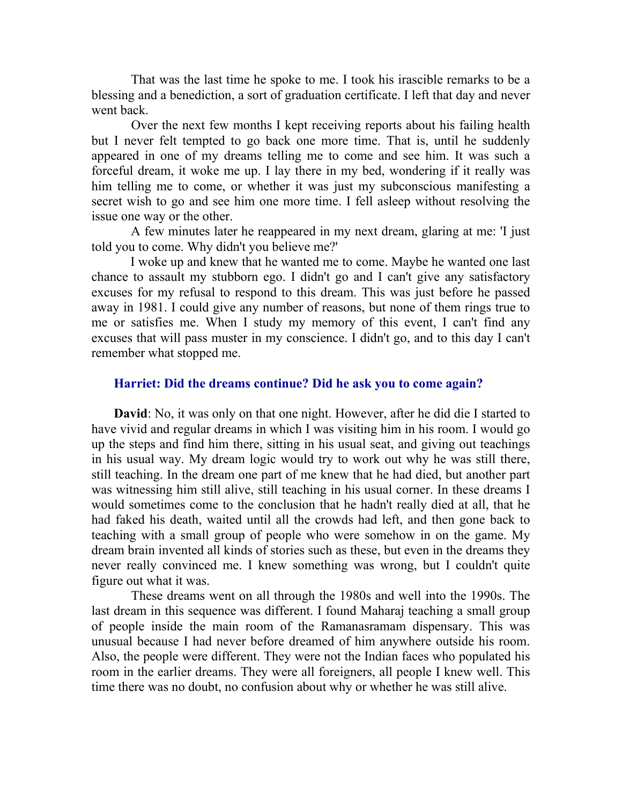That was the last time he spoke to me. I took his irascible remarks to be a blessing and a benediction, a sort of graduation certificate. I left that day and never went back.

 Over the next few months I kept receiving reports about his failing health but I never felt tempted to go back one more time. That is, until he suddenly appeared in one of my dreams telling me to come and see him. It was such a forceful dream, it woke me up. I lay there in my bed, wondering if it really was him telling me to come, or whether it was just my subconscious manifesting a secret wish to go and see him one more time. I fell asleep without resolving the issue one way or the other.

 A few minutes later he reappeared in my next dream, glaring at me: 'I just told you to come. Why didn't you believe me?'

 I woke up and knew that he wanted me to come. Maybe he wanted one last chance to assault my stubborn ego. I didn't go and I can't give any satisfactory excuses for my refusal to respond to this dream. This was just before he passed away in 1981. I could give any number of reasons, but none of them rings true to me or satisfies me. When I study my memory of this event, I can't find any excuses that will pass muster in my conscience. I didn't go, and to this day I can't remember what stopped me.

#### Harriet: Did the dreams continue? Did he ask you to come again?

David: No, it was only on that one night. However, after he did die I started to have vivid and regular dreams in which I was visiting him in his room. I would go up the steps and find him there, sitting in his usual seat, and giving out teachings in his usual way. My dream logic would try to work out why he was still there, still teaching. In the dream one part of me knew that he had died, but another part was witnessing him still alive, still teaching in his usual corner. In these dreams I would sometimes come to the conclusion that he hadn't really died at all, that he had faked his death, waited until all the crowds had left, and then gone back to teaching with a small group of people who were somehow in on the game. My dream brain invented all kinds of stories such as these, but even in the dreams they never really convinced me. I knew something was wrong, but I couldn't quite figure out what it was.

 These dreams went on all through the 1980s and well into the 1990s. The last dream in this sequence was different. I found Maharaj teaching a small group of people inside the main room of the Ramanasramam dispensary. This was unusual because I had never before dreamed of him anywhere outside his room. Also, the people were different. They were not the Indian faces who populated his room in the earlier dreams. They were all foreigners, all people I knew well. This time there was no doubt, no confusion about why or whether he was still alive.